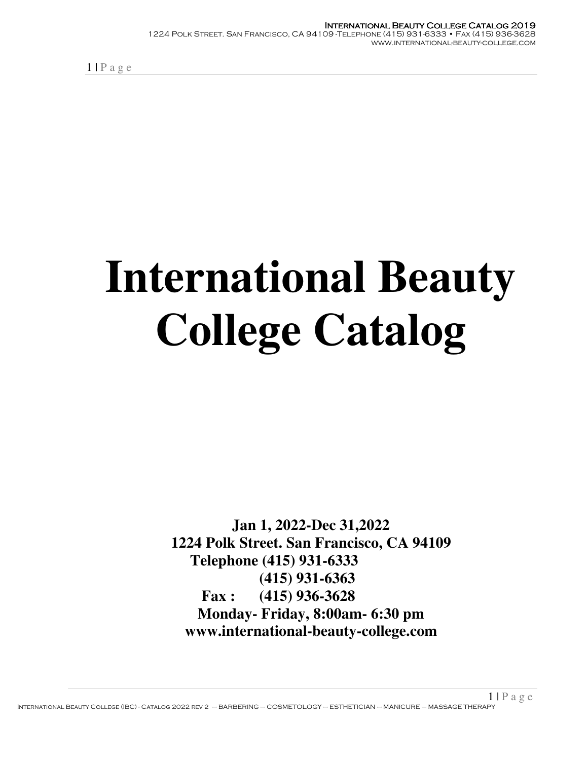# **International Beauty College Catalog**

**Jan 1, 2022-Dec 31,2022 1224 Polk Street. San Francisco, CA 94109 Telephone (415) 931-6333 (415) 931-6363 Fax : (415) 936-3628 Monday- Friday, 8:00am- 6:30 pm www.international-beauty-college.com**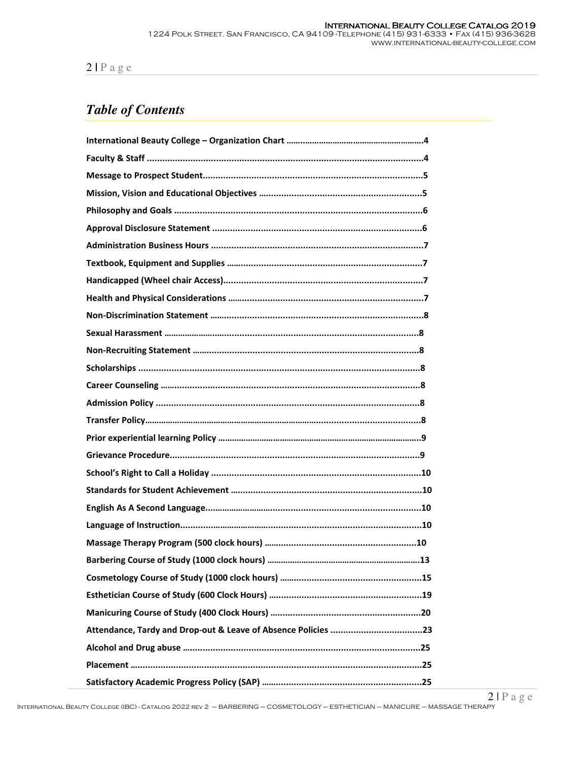# *Table of Contents*

| Attendance, Tardy and Drop-out & Leave of Absence Policies 23 |
|---------------------------------------------------------------|
|                                                               |
|                                                               |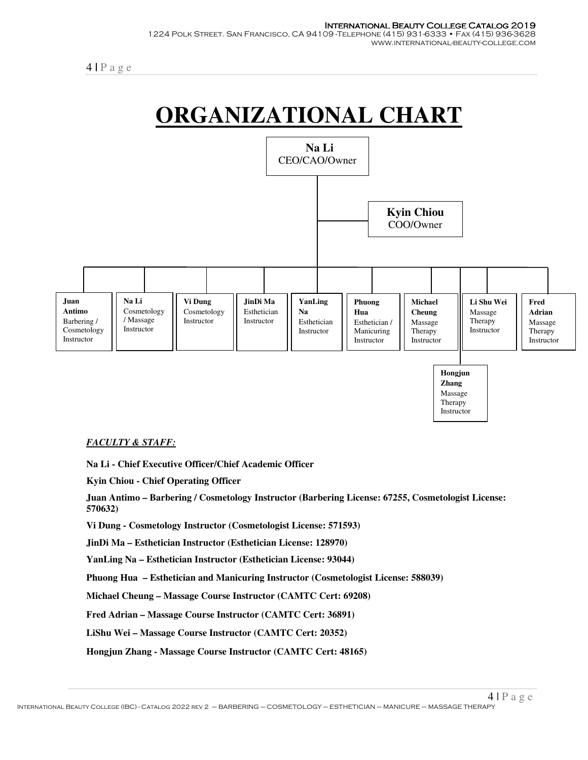



#### *FACULTY & STAFF:*

**Na Li - Chief Executive Officer/Chief Academic Officer** 

**Kyin Chiou - Chief Operating Officer** 

**Juan Antimo – Barbering / Cosmetology Instructor (Barbering License: 67255, Cosmetologist License: 570632)**

**Vi Dung - Cosmetology Instructor (Cosmetologist License: 571593)** 

**JinDi Ma – Esthetician Instructor (Esthetician License: 128970)** 

**YanLing Na – Esthetician Instructor (Esthetician License: 93044)** 

**Phuong Hua – Esthetician and Manicuring Instructor (Cosmetologist License: 588039)** 

**Michael Cheung – Massage Course Instructor (CAMTC Cert: 69208)** 

**Fred Adrian – Massage Course Instructor (CAMTC Cert: 36891)** 

**LiShu Wei – Massage Course Instructor (CAMTC Cert: 20352)** 

**Hongjun Zhang - Massage Course Instructor (CAMTC Cert: 48165)**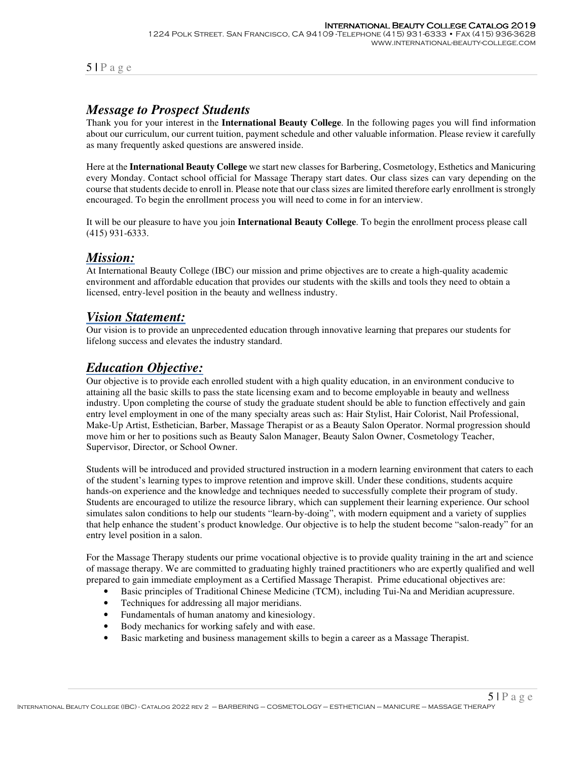## *Message to Prospect Students*

Thank you for your interest in the **International Beauty College**. In the following pages you will find information about our curriculum, our current tuition, payment schedule and other valuable information. Please review it carefully as many frequently asked questions are answered inside.

Here at the **International Beauty College** we start new classes for Barbering, Cosmetology, Esthetics and Manicuring every Monday. Contact school official for Massage Therapy start dates. Our class sizes can vary depending on the course that students decide to enroll in. Please note that our class sizes are limited therefore early enrollment is strongly encouraged. To begin the enrollment process you will need to come in for an interview.

It will be our pleasure to have you join **International Beauty College**. To begin the enrollment process please call (415) 931-6333.

## *Mission:*

At International Beauty College (IBC) our mission and prime objectives are to create a high-quality academic environment and affordable education that provides our students with the skills and tools they need to obtain a licensed, entry-level position in the beauty and wellness industry.

## *Vision Statement:*

Our vision is to provide an unprecedented education through innovative learning that prepares our students for lifelong success and elevates the industry standard.

## *Education Objective:*

Our objective is to provide each enrolled student with a high quality education, in an environment conducive to attaining all the basic skills to pass the state licensing exam and to become employable in beauty and wellness industry. Upon completing the course of study the graduate student should be able to function effectively and gain entry level employment in one of the many specialty areas such as: Hair Stylist, Hair Colorist, Nail Professional, Make-Up Artist, Esthetician, Barber, Massage Therapist or as a Beauty Salon Operator. Normal progression should move him or her to positions such as Beauty Salon Manager, Beauty Salon Owner, Cosmetology Teacher, Supervisor, Director, or School Owner.

Students will be introduced and provided structured instruction in a modern learning environment that caters to each of the student's learning types to improve retention and improve skill. Under these conditions, students acquire hands-on experience and the knowledge and techniques needed to successfully complete their program of study. Students are encouraged to utilize the resource library, which can supplement their learning experience. Our school simulates salon conditions to help our students "learn-by-doing", with modern equipment and a variety of supplies that help enhance the student's product knowledge. Our objective is to help the student become "salon-ready" for an entry level position in a salon.

For the Massage Therapy students our prime vocational objective is to provide quality training in the art and science of massage therapy. We are committed to graduating highly trained practitioners who are expertly qualified and well prepared to gain immediate employment as a Certified Massage Therapist. Prime educational objectives are:

- Basic principles of Traditional Chinese Medicine (TCM), including Tui-Na and Meridian acupressure.
- Techniques for addressing all major meridians.
- Fundamentals of human anatomy and kinesiology.
- Body mechanics for working safely and with ease.
- Basic marketing and business management skills to begin a career as a Massage Therapist.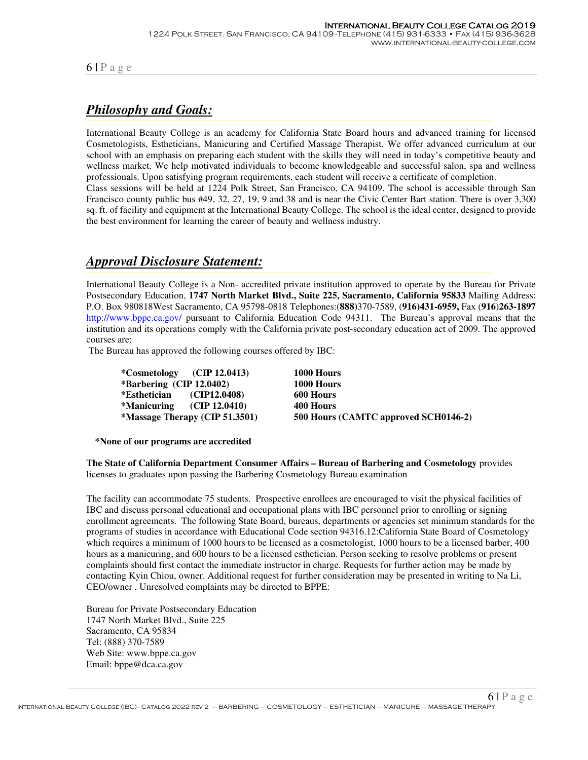# *Philosophy and Goals:*

International Beauty College is an academy for California State Board hours and advanced training for licensed Cosmetologists, Estheticians, Manicuring and Certified Massage Therapist. We offer advanced curriculum at our school with an emphasis on preparing each student with the skills they will need in today's competitive beauty and wellness market. We help motivated individuals to become knowledgeable and successful salon, spa and wellness professionals. Upon satisfying program requirements, each student will receive a certificate of completion. Class sessions will be held at 1224 Polk Street, San Francisco, CA 94109. The school is accessible through San Francisco county public bus #49, 32, 27, 19, 9 and 38 and is near the Civic Center Bart station. There is over 3,300

sq. ft. of facility and equipment at the International Beauty College. The school is the ideal center, designed to provide the best environment for learning the career of beauty and wellness industry.

## *Approval Disclosure Statement:*

International Beauty College is a Non- accredited private institution approved to operate by the Bureau for Private Postsecondary Education, **1747 North Market Blvd., Suite 225, Sacramento, California 95833** Mailing Address: P.O. Box 980818West Sacramento, CA 95798-0818 Telephones:(**888)**370-7589, (**916)431-6959,** Fax (**916**)**263-1897** http://www.bppe.ca.gov/ pursuant to California Education Code 94311. The Bureau's approval means that the institution and its operations comply with the California private post-secondary education act of 2009. The approved courses are:

The Bureau has approved the following courses offered by IBC:

|                              | *Cosmetology $(CIP 12.0413)$   | 1000 Hours                           |
|------------------------------|--------------------------------|--------------------------------------|
| *Barbering $(CIP 12.0402)$   |                                | 1000 Hours                           |
| *Esthetician (CIP12.0408)    |                                | 600 Hours                            |
| $*$ Manicuring (CIP 12.0410) |                                | 400 Hours                            |
|                              | *Massage Therapy (CIP 51.3501) | 500 Hours (CAMTC approved SCH0146-2) |

**\*None of our programs are accredited** 

**The State of California Department Consumer Affairs – Bureau of Barbering and Cosmetology** provides licenses to graduates upon passing the Barbering Cosmetology Bureau examination

The facility can accommodate 75 students. Prospective enrollees are encouraged to visit the physical facilities of IBC and discuss personal educational and occupational plans with IBC personnel prior to enrolling or signing enrollment agreements. The following State Board, bureaus, departments or agencies set minimum standards for the programs of studies in accordance with Educational Code section 94316.12:California State Board of Cosmetology which requires a minimum of 1000 hours to be licensed as a cosmetologist, 1000 hours to be a licensed barber, 400 hours as a manicuring, and 600 hours to be a licensed esthetician. Person seeking to resolve problems or present complaints should first contact the immediate instructor in charge. Requests for further action may be made by contacting Kyin Chiou, owner. Additional request for further consideration may be presented in writing to Na Li, CEO/owner . Unresolved complaints may be directed to BPPE:

Bureau for Private Postsecondary Education 1747 North Market Blvd., Suite 225 Sacramento, CA 95834 Tel: (888) 370-7589 Web Site: www.bppe.ca.gov Email: bppe@dca.ca.gov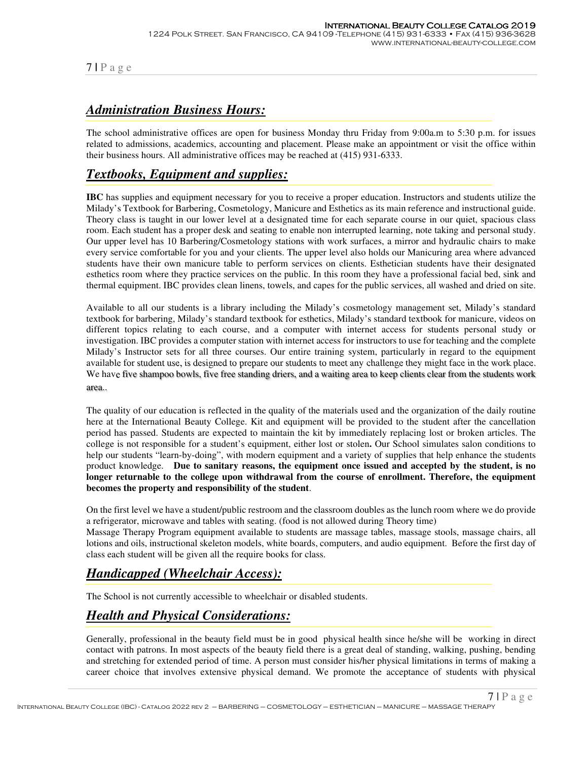# *Administration Business Hours:*

The school administrative offices are open for business Monday thru Friday from 9:00a.m to 5:30 p.m. for issues related to admissions, academics, accounting and placement. Please make an appointment or visit the office within their business hours. All administrative offices may be reached at (415) 931-6333.

## *Textbooks, Equipment and supplies:*

**IBC** has supplies and equipment necessary for you to receive a proper education. Instructors and students utilize the Milady's Textbook for Barbering, Cosmetology, Manicure and Esthetics as its main reference and instructional guide. Theory class is taught in our lower level at a designated time for each separate course in our quiet, spacious class room. Each student has a proper desk and seating to enable non interrupted learning, note taking and personal study. Our upper level has 10 Barbering/Cosmetology stations with work surfaces, a mirror and hydraulic chairs to make every service comfortable for you and your clients. The upper level also holds our Manicuring area where advanced students have their own manicure table to perform services on clients. Esthetician students have their designated esthetics room where they practice services on the public. In this room they have a professional facial bed, sink and thermal equipment. IBC provides clean linens, towels, and capes for the public services, all washed and dried on site.

Available to all our students is a library including the Milady's cosmetology management set, Milady's standard textbook for barbering, Milady's standard textbook for esthetics, Milady's standard textbook for manicure, videos on different topics relating to each course, and a computer with internet access for students personal study or investigation. IBC provides a computer station with internet access for instructors to use for teaching and the complete Milady's Instructor sets for all three courses. Our entire training system, particularly in regard to the equipment available for student use, is designed to prepare our students to meet any challenge they might face in the work place. We have five shampoo bowls, five free standing driers, and a waiting area to keep clients clear from the students work area..

The quality of our education is reflected in the quality of the materials used and the organization of the daily routine here at the International Beauty College. Kit and equipment will be provided to the student after the cancellation period has passed. Students are expected to maintain the kit by immediately replacing lost or broken articles. The college is not responsible for a student's equipment, either lost or stolen**.** Our School simulates salon conditions to help our students "learn-by-doing", with modern equipment and a variety of supplies that help enhance the students product knowledge. **Due to sanitary reasons, the equipment once issued and accepted by the student, is no longer returnable to the college upon withdrawal from the course of enrollment. Therefore, the equipment becomes the property and responsibility of the student**.

On the first level we have a student/public restroom and the classroom doubles as the lunch room where we do provide a refrigerator, microwave and tables with seating. (food is not allowed during Theory time)

Massage Therapy Program equipment available to students are massage tables, massage stools, massage chairs, all lotions and oils, instructional skeleton models, white boards, computers, and audio equipment. Before the first day of class each student will be given all the require books for class.

# *Handicapped (Wheelchair Access):*

The School is not currently accessible to wheelchair or disabled students.

## *Health and Physical Considerations:*

Generally, professional in the beauty field must be in good physical health since he/she will be working in direct contact with patrons. In most aspects of the beauty field there is a great deal of standing, walking, pushing, bending and stretching for extended period of time. A person must consider his/her physical limitations in terms of making a career choice that involves extensive physical demand. We promote the acceptance of students with physical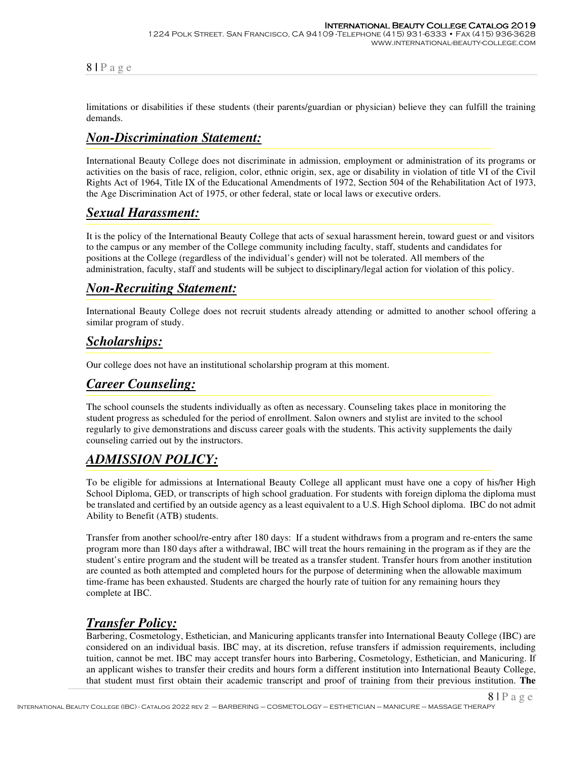limitations or disabilities if these students (their parents/guardian or physician) believe they can fulfill the training demands.

## *Non-Discrimination Statement:*

International Beauty College does not discriminate in admission, employment or administration of its programs or activities on the basis of race, religion, color, ethnic origin, sex, age or disability in violation of title VI of the Civil Rights Act of 1964, Title IX of the Educational Amendments of 1972, Section 504 of the Rehabilitation Act of 1973, the Age Discrimination Act of 1975, or other federal, state or local laws or executive orders.

## *Sexual Harassment:*

It is the policy of the International Beauty College that acts of sexual harassment herein, toward guest or and visitors to the campus or any member of the College community including faculty, staff, students and candidates for positions at the College (regardless of the individual's gender) will not be tolerated. All members of the administration, faculty, staff and students will be subject to disciplinary/legal action for violation of this policy.

## *Non-Recruiting Statement:*

International Beauty College does not recruit students already attending or admitted to another school offering a similar program of study.

## *Scholarships:*

Our college does not have an institutional scholarship program at this moment.

# *Career Counseling:*

The school counsels the students individually as often as necessary. Counseling takes place in monitoring the student progress as scheduled for the period of enrollment. Salon owners and stylist are invited to the school regularly to give demonstrations and discuss career goals with the students. This activity supplements the daily counseling carried out by the instructors.

## *ADMISSION POLICY:*

To be eligible for admissions at International Beauty College all applicant must have one a copy of his/her High School Diploma, GED, or transcripts of high school graduation. For students with foreign diploma the diploma must be translated and certified by an outside agency as a least equivalent to a U.S. High School diploma. IBC do not admit Ability to Benefit (ATB) students.

Transfer from another school/re-entry after 180 days: If a student withdraws from a program and re-enters the same program more than 180 days after a withdrawal, IBC will treat the hours remaining in the program as if they are the student's entire program and the student will be treated as a transfer student. Transfer hours from another institution are counted as both attempted and completed hours for the purpose of determining when the allowable maximum time-frame has been exhausted. Students are charged the hourly rate of tuition for any remaining hours they complete at IBC.

## *Transfer Policy:*

Barbering, Cosmetology, Esthetician, and Manicuring applicants transfer into International Beauty College (IBC) are considered on an individual basis. IBC may, at its discretion, refuse transfers if admission requirements, including tuition, cannot be met. IBC may accept transfer hours into Barbering, Cosmetology, Esthetician, and Manicuring. If an applicant wishes to transfer their credits and hours form a different institution into International Beauty College, that student must first obtain their academic transcript and proof of training from their previous institution. **The**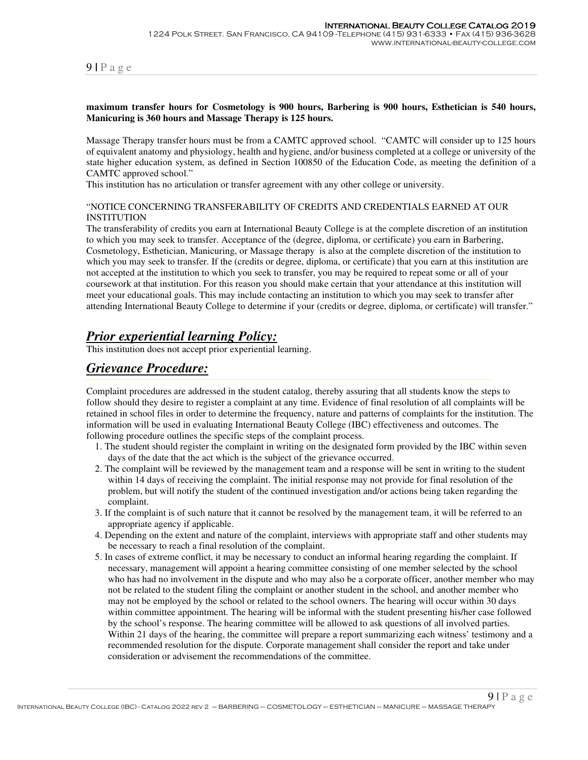#### **maximum transfer hours for Cosmetology is 900 hours, Barbering is 900 hours, Esthetician is 540 hours, Manicuring is 360 hours and Massage Therapy is 125 hours.**

Massage Therapy transfer hours must be from a CAMTC approved school. "CAMTC will consider up to 125 hours of equivalent anatomy and physiology, health and hygiene, and/or business completed at a college or university of the state higher education system, as defined in Section 100850 of the Education Code, as meeting the definition of a CAMTC approved school."

This institution has no articulation or transfer agreement with any other college or university.

#### "NOTICE CONCERNING TRANSFERABILITY OF CREDITS AND CREDENTIALS EARNED AT OUR INSTITUTION

The transferability of credits you earn at International Beauty College is at the complete discretion of an institution to which you may seek to transfer. Acceptance of the (degree, diploma, or certificate) you earn in Barbering, Cosmetology, Esthetician, Manicuring, or Massage therapy is also at the complete discretion of the institution to which you may seek to transfer. If the (credits or degree, diploma, or certificate) that you earn at this institution are not accepted at the institution to which you seek to transfer, you may be required to repeat some or all of your coursework at that institution. For this reason you should make certain that your attendance at this institution will meet your educational goals. This may include contacting an institution to which you may seek to transfer after attending International Beauty College to determine if your (credits or degree, diploma, or certificate) will transfer."

## *Prior experiential learning Policy:*

This institution does not accept prior experiential learning.

## *Grievance Procedure:*

Complaint procedures are addressed in the student catalog, thereby assuring that all students know the steps to follow should they desire to register a complaint at any time. Evidence of final resolution of all complaints will be retained in school files in order to determine the frequency, nature and patterns of complaints for the institution. The information will be used in evaluating International Beauty College (IBC) effectiveness and outcomes. The following procedure outlines the specific steps of the complaint process.

- 1. The student should register the complaint in writing on the designated form provided by the IBC within seven days of the date that the act which is the subject of the grievance occurred.
- 2. The complaint will be reviewed by the management team and a response will be sent in writing to the student within 14 days of receiving the complaint. The initial response may not provide for final resolution of the problem, but will notify the student of the continued investigation and/or actions being taken regarding the complaint.
- 3. If the complaint is of such nature that it cannot be resolved by the management team, it will be referred to an appropriate agency if applicable.
- 4. Depending on the extent and nature of the complaint, interviews with appropriate staff and other students may be necessary to reach a final resolution of the complaint.
- 5. In cases of extreme conflict, it may be necessary to conduct an informal hearing regarding the complaint. If necessary, management will appoint a hearing committee consisting of one member selected by the school who has had no involvement in the dispute and who may also be a corporate officer, another member who may not be related to the student filing the complaint or another student in the school, and another member who may not be employed by the school or related to the school owners. The hearing will occur within 30 days within committee appointment. The hearing will be informal with the student presenting his/her case followed by the school's response. The hearing committee will be allowed to ask questions of all involved parties. Within 21 days of the hearing, the committee will prepare a report summarizing each witness' testimony and a recommended resolution for the dispute. Corporate management shall consider the report and take under consideration or advisement the recommendations of the committee.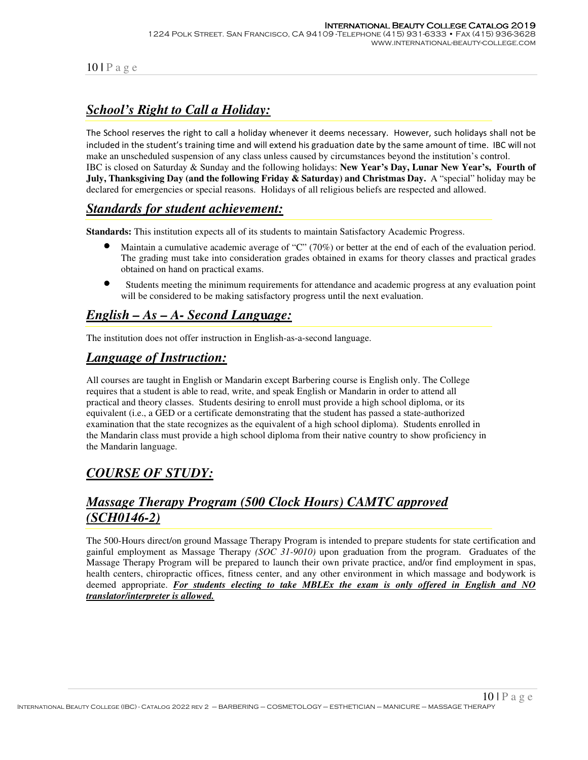# *School's Right to Call a Holiday:*

The School reserves the right to call a holiday whenever it deems necessary. However, such holidays shall not be included in the student's training time and will extend his graduation date by the same amount of time. IBC will not make an unscheduled suspension of any class unless caused by circumstances beyond the institution's control. IBC is closed on Saturday & Sunday and the following holidays: **New Year's Day, Lunar New Year's, Fourth of July, Thanksgiving Day (and the following Friday & Saturday) and Christmas Day.** A "special" holiday may be declared for emergencies or special reasons. Holidays of all religious beliefs are respected and allowed.

## *Standards for student achievement:*

**Standards:** This institution expects all of its students to maintain Satisfactory Academic Progress.

- Maintain a cumulative academic average of "C" (70%) or better at the end of each of the evaluation period. The grading must take into consideration grades obtained in exams for theory classes and practical grades obtained on hand on practical exams.
- •Students meeting the minimum requirements for attendance and academic progress at any evaluation point will be considered to be making satisfactory progress until the next evaluation.

# *English – As – A- Second Lang***u***age:*

The institution does not offer instruction in English-as-a-second language.

## *Language of Instruction:*

All courses are taught in English or Mandarin except Barbering course is English only. The College requires that a student is able to read, write, and speak English or Mandarin in order to attend all practical and theory classes. Students desiring to enroll must provide a high school diploma, or its equivalent (i.e., a GED or a certificate demonstrating that the student has passed a state-authorized examination that the state recognizes as the equivalent of a high school diploma). Students enrolled in the Mandarin class must provide a high school diploma from their native country to show proficiency in the Mandarin language.

# *COURSE OF STUDY:*

# *Massage Therapy Program (500 Clock Hours) CAMTC approved (SCH0146-2)*

The 500-Hours direct/on ground Massage Therapy Program is intended to prepare students for state certification and gainful employment as Massage Therapy *(SOC 31-9010)* upon graduation from the program. Graduates of the Massage Therapy Program will be prepared to launch their own private practice, and/or find employment in spas, health centers, chiropractic offices, fitness center, and any other environment in which massage and bodywork is deemed appropriate. *For students electing to take MBLEx the exam is only offered in English and NO translator/interpreter is allowed.*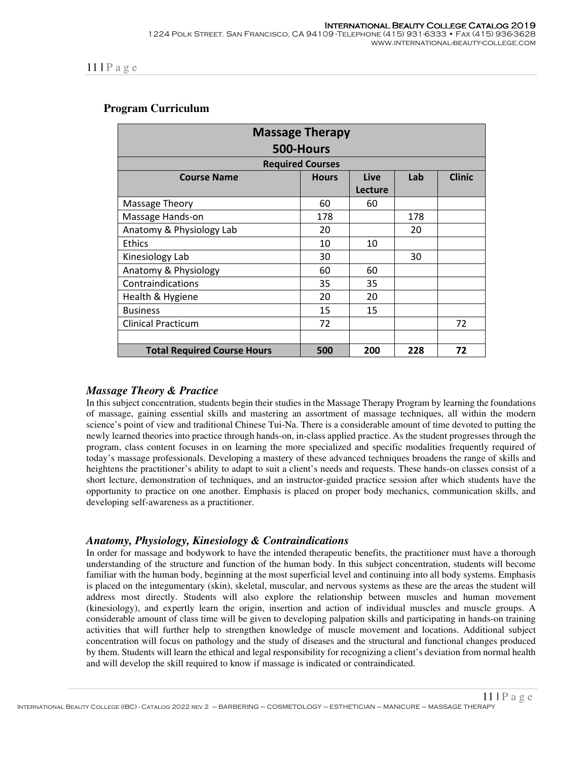#### **Program Curriculum**

| <b>Massage Therapy</b>                                        |                         |         |     |               |  |  |  |
|---------------------------------------------------------------|-------------------------|---------|-----|---------------|--|--|--|
| 500-Hours                                                     |                         |         |     |               |  |  |  |
|                                                               | <b>Required Courses</b> |         |     |               |  |  |  |
| <b>Course Name</b>                                            | <b>Hours</b>            | Live    | Lab | <b>Clinic</b> |  |  |  |
|                                                               |                         | Lecture |     |               |  |  |  |
| Massage Theory                                                | 60                      | 60      |     |               |  |  |  |
| Massage Hands-on                                              | 178                     |         | 178 |               |  |  |  |
| Anatomy & Physiology Lab                                      | 20                      |         | 20  |               |  |  |  |
| Ethics                                                        | 10                      | 10      |     |               |  |  |  |
| Kinesiology Lab                                               | 30                      |         | 30  |               |  |  |  |
| Anatomy & Physiology                                          | 60                      | 60      |     |               |  |  |  |
| Contraindications                                             | 35                      | 35      |     |               |  |  |  |
| Health & Hygiene                                              | 20                      | 20      |     |               |  |  |  |
| <b>Business</b>                                               | 15                      | 15      |     |               |  |  |  |
| <b>Clinical Practicum</b>                                     | 72                      |         |     | 72            |  |  |  |
|                                                               |                         |         |     |               |  |  |  |
| 228<br>72<br>500<br><b>Total Required Course Hours</b><br>200 |                         |         |     |               |  |  |  |

#### *Massage Theory & Practice*

In this subject concentration, students begin their studies in the Massage Therapy Program by learning the foundations of massage, gaining essential skills and mastering an assortment of massage techniques, all within the modern science's point of view and traditional Chinese Tui-Na. There is a considerable amount of time devoted to putting the newly learned theories into practice through hands-on, in-class applied practice. As the student progresses through the program, class content focuses in on learning the more specialized and specific modalities frequently required of today's massage professionals. Developing a mastery of these advanced techniques broadens the range of skills and heightens the practitioner's ability to adapt to suit a client's needs and requests. These hands-on classes consist of a short lecture, demonstration of techniques, and an instructor-guided practice session after which students have the opportunity to practice on one another. Emphasis is placed on proper body mechanics, communication skills, and developing self-awareness as a practitioner.

#### *Anatomy, Physiology, Kinesiology & Contraindications*

In order for massage and bodywork to have the intended therapeutic benefits, the practitioner must have a thorough understanding of the structure and function of the human body. In this subject concentration, students will become familiar with the human body, beginning at the most superficial level and continuing into all body systems. Emphasis is placed on the integumentary (skin), skeletal, muscular, and nervous systems as these are the areas the student will address most directly. Students will also explore the relationship between muscles and human movement (kinesiology), and expertly learn the origin, insertion and action of individual muscles and muscle groups. A considerable amount of class time will be given to developing palpation skills and participating in hands-on training activities that will further help to strengthen knowledge of muscle movement and locations. Additional subject concentration will focus on pathology and the study of diseases and the structural and functional changes produced by them. Students will learn the ethical and legal responsibility for recognizing a client's deviation from normal health and will develop the skill required to know if massage is indicated or contraindicated.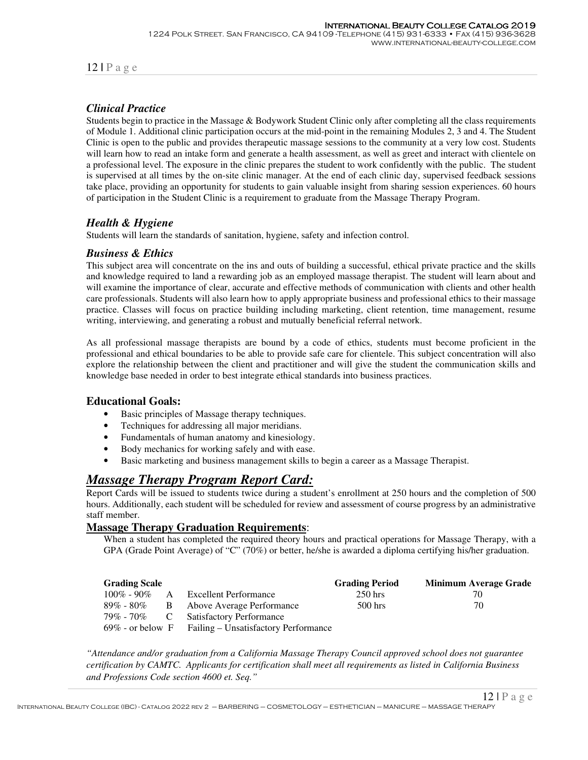#### *Clinical Practice*

Students begin to practice in the Massage & Bodywork Student Clinic only after completing all the class requirements of Module 1. Additional clinic participation occurs at the mid-point in the remaining Modules 2, 3 and 4. The Student Clinic is open to the public and provides therapeutic massage sessions to the community at a very low cost. Students will learn how to read an intake form and generate a health assessment, as well as greet and interact with clientele on a professional level. The exposure in the clinic prepares the student to work confidently with the public. The student is supervised at all times by the on-site clinic manager. At the end of each clinic day, supervised feedback sessions take place, providing an opportunity for students to gain valuable insight from sharing session experiences. 60 hours of participation in the Student Clinic is a requirement to graduate from the Massage Therapy Program.

#### *Health & Hygiene*

Students will learn the standards of sanitation, hygiene, safety and infection control.

#### *Business & Ethics*

This subject area will concentrate on the ins and outs of building a successful, ethical private practice and the skills and knowledge required to land a rewarding job as an employed massage therapist. The student will learn about and will examine the importance of clear, accurate and effective methods of communication with clients and other health care professionals. Students will also learn how to apply appropriate business and professional ethics to their massage practice. Classes will focus on practice building including marketing, client retention, time management, resume writing, interviewing, and generating a robust and mutually beneficial referral network.

As all professional massage therapists are bound by a code of ethics, students must become proficient in the professional and ethical boundaries to be able to provide safe care for clientele. This subject concentration will also explore the relationship between the client and practitioner and will give the student the communication skills and knowledge base needed in order to best integrate ethical standards into business practices.

#### **Educational Goals:**

- Basic principles of Massage therapy techniques.
- Techniques for addressing all major meridians.
- Fundamentals of human anatomy and kinesiology.
- Body mechanics for working safely and with ease.
- Basic marketing and business management skills to begin a career as a Massage Therapist.

#### *Massage Therapy Program Report Card:*

Report Cards will be issued to students twice during a student's enrollment at 250 hours and the completion of 500 hours. Additionally, each student will be scheduled for review and assessment of course progress by an administrative staff member.

#### **Massage Therapy Graduation Requirements**:

When a student has completed the required theory hours and practical operations for Massage Therapy, with a GPA (Grade Point Average) of "C" (70%) or better, he/she is awarded a diploma certifying his/her graduation.

| <b>Grading Scale</b> |                                                          | <b>Grading Period</b> | <b>Minimum Average Grade</b> |
|----------------------|----------------------------------------------------------|-----------------------|------------------------------|
| $100\% - 90\%$ A     | Excellent Performance                                    | $250$ hrs             | 70.                          |
|                      | 89% - 80% B Above Average Performance                    | $500$ hrs             | 70                           |
|                      | 79% - 70% C Satisfactory Performance                     |                       |                              |
|                      | $69\%$ - or below F Failing – Unsatisfactory Performance |                       |                              |

*"Attendance and/or graduation from a California Massage Therapy Council approved school does not guarantee certification by CAMTC. Applicants for certification shall meet all requirements as listed in California Business and Professions Code section 4600 et. Seq."*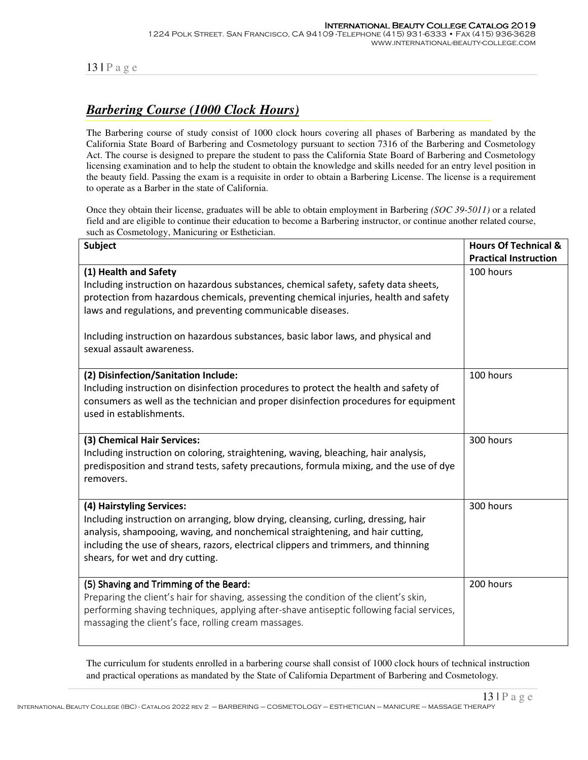# *Barbering Course (1000 Clock Hours)*

The Barbering course of study consist of 1000 clock hours covering all phases of Barbering as mandated by the California State Board of Barbering and Cosmetology pursuant to section 7316 of the Barbering and Cosmetology Act. The course is designed to prepare the student to pass the California State Board of Barbering and Cosmetology licensing examination and to help the student to obtain the knowledge and skills needed for an entry level position in the beauty field. Passing the exam is a requisite in order to obtain a Barbering License. The license is a requirement to operate as a Barber in the state of California.

Once they obtain their license, graduates will be able to obtain employment in Barbering *(SOC 39-5011)* or a related field and are eligible to continue their education to become a Barbering instructor, or continue another related course, such as Cosmetology, Manicuring or Esthetician.

| <b>Subject</b>                                                                                                                                                                                                                                                                                                                                                                        | <b>Hours Of Technical &amp;</b><br><b>Practical Instruction</b> |
|---------------------------------------------------------------------------------------------------------------------------------------------------------------------------------------------------------------------------------------------------------------------------------------------------------------------------------------------------------------------------------------|-----------------------------------------------------------------|
| (1) Health and Safety<br>Including instruction on hazardous substances, chemical safety, safety data sheets,<br>protection from hazardous chemicals, preventing chemical injuries, health and safety<br>laws and regulations, and preventing communicable diseases.<br>Including instruction on hazardous substances, basic labor laws, and physical and<br>sexual assault awareness. | 100 hours                                                       |
| (2) Disinfection/Sanitation Include:<br>Including instruction on disinfection procedures to protect the health and safety of<br>consumers as well as the technician and proper disinfection procedures for equipment<br>used in establishments.                                                                                                                                       | 100 hours                                                       |
| (3) Chemical Hair Services:<br>Including instruction on coloring, straightening, waving, bleaching, hair analysis,<br>predisposition and strand tests, safety precautions, formula mixing, and the use of dye<br>removers.                                                                                                                                                            | 300 hours                                                       |
| (4) Hairstyling Services:<br>Including instruction on arranging, blow drying, cleansing, curling, dressing, hair<br>analysis, shampooing, waving, and nonchemical straightening, and hair cutting,<br>including the use of shears, razors, electrical clippers and trimmers, and thinning<br>shears, for wet and dry cutting.                                                         | 300 hours                                                       |
| (5) Shaving and Trimming of the Beard:<br>Preparing the client's hair for shaving, assessing the condition of the client's skin,<br>performing shaving techniques, applying after-shave antiseptic following facial services,<br>massaging the client's face, rolling cream massages.                                                                                                 | 200 hours                                                       |

The curriculum for students enrolled in a barbering course shall consist of 1000 clock hours of technical instruction and practical operations as mandated by the State of California Department of Barbering and Cosmetology.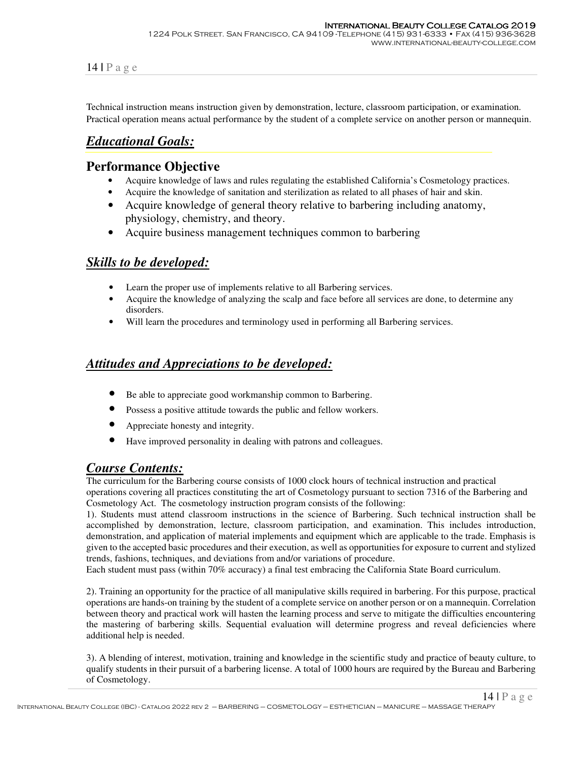Technical instruction means instruction given by demonstration, lecture, classroom participation, or examination. Practical operation means actual performance by the student of a complete service on another person or mannequin.

## *Educational Goals:*

#### **Performance Objective**

- Acquire knowledge of laws and rules regulating the established California's Cosmetology practices.
- Acquire the knowledge of sanitation and sterilization as related to all phases of hair and skin.
- Acquire knowledge of general theory relative to barbering including anatomy, physiology, chemistry, and theory.
- Acquire business management techniques common to barbering

## *Skills to be developed:*

- Learn the proper use of implements relative to all Barbering services.
- Acquire the knowledge of analyzing the scalp and face before all services are done, to determine any disorders.
- Will learn the procedures and terminology used in performing all Barbering services.

## *Attitudes and Appreciations to be developed:*

- Be able to appreciate good workmanship common to Barbering.
- Possess a positive attitude towards the public and fellow workers.
- Appreciate honesty and integrity.
- Have improved personality in dealing with patrons and colleagues.

## *Course Contents:*

The curriculum for the Barbering course consists of 1000 clock hours of technical instruction and practical

operations covering all practices constituting the art of Cosmetology pursuant to section 7316 of the Barbering and Cosmetology Act. The cosmetology instruction program consists of the following:

1). Students must attend classroom instructions in the science of Barbering. Such technical instruction shall be accomplished by demonstration, lecture, classroom participation, and examination. This includes introduction, demonstration, and application of material implements and equipment which are applicable to the trade. Emphasis is given to the accepted basic procedures and their execution, as well as opportunities for exposure to current and stylized trends, fashions, techniques, and deviations from and/or variations of procedure.

Each student must pass (within 70% accuracy) a final test embracing the California State Board curriculum.

2). Training an opportunity for the practice of all manipulative skills required in barbering. For this purpose, practical operations are hands-on training by the student of a complete service on another person or on a mannequin. Correlation between theory and practical work will hasten the learning process and serve to mitigate the difficulties encountering the mastering of barbering skills. Sequential evaluation will determine progress and reveal deficiencies where additional help is needed.

3). A blending of interest, motivation, training and knowledge in the scientific study and practice of beauty culture, to qualify students in their pursuit of a barbering license. A total of 1000 hours are required by the Bureau and Barbering of Cosmetology.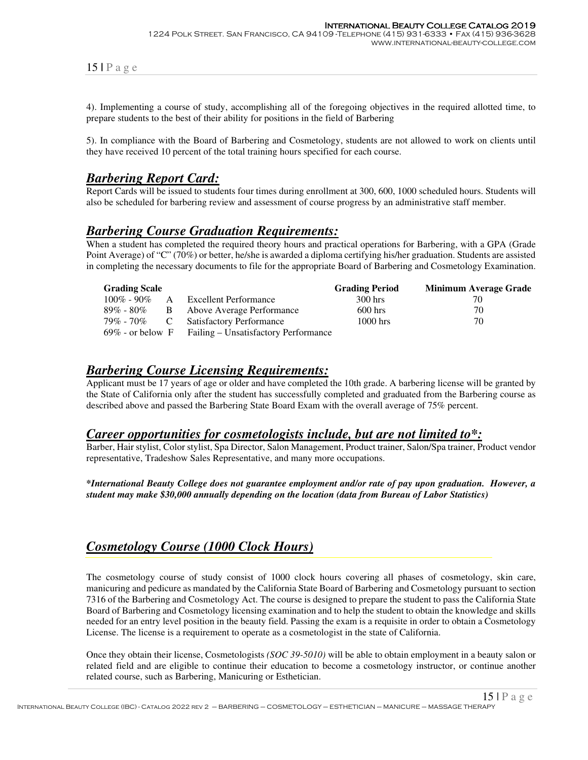4). Implementing a course of study, accomplishing all of the foregoing objectives in the required allotted time, to prepare students to the best of their ability for positions in the field of Barbering

5). In compliance with the Board of Barbering and Cosmetology, students are not allowed to work on clients until they have received 10 percent of the total training hours specified for each course.

#### *Barbering Report Card:*

Report Cards will be issued to students four times during enrollment at 300, 600, 1000 scheduled hours. Students will also be scheduled for barbering review and assessment of course progress by an administrative staff member.

#### *Barbering Course Graduation Requirements:*

When a student has completed the required theory hours and practical operations for Barbering, with a GPA (Grade Point Average) of "C" (70%) or better, he/she is awarded a diploma certifying his/her graduation. Students are assisted in completing the necessary documents to file for the appropriate Board of Barbering and Cosmetology Examination.

| <b>Grading Scale</b> |                   |                                                          | <b>Grading Period</b> | <b>Minimum Average Grade</b> |
|----------------------|-------------------|----------------------------------------------------------|-----------------------|------------------------------|
| $100\%$ - 90%        | $\cdot$ A $\cdot$ | <b>Excellent Performance</b>                             | 300 hrs               | 70                           |
| 89% - 80%            | $\overline{B}$    | Above Average Performance                                | $600$ hrs             | 70                           |
| 79% - 70% C          |                   | <b>Satisfactory Performance</b>                          | $1000$ hrs            | 70                           |
|                      |                   | $69\%$ - or below F Failing – Unsatisfactory Performance |                       |                              |

#### *Barbering Course Licensing Requirements:*

Applicant must be 17 years of age or older and have completed the 10th grade. A barbering license will be granted by the State of California only after the student has successfully completed and graduated from the Barbering course as described above and passed the Barbering State Board Exam with the overall average of 75% percent.

#### *Career opportunities for cosmetologists include, but are not limited to\*:*

Barber, Hair stylist, Color stylist, Spa Director, Salon Management, Product trainer, Salon/Spa trainer, Product vendor representative, Tradeshow Sales Representative, and many more occupations.

**\****International Beauty College does not guarantee employment and/or rate of pay upon graduation. However, a student may make \$30,000 annually depending on the location (data from Bureau of Labor Statistics)*

## *Cosmetology Course (1000 Clock Hours)*

The cosmetology course of study consist of 1000 clock hours covering all phases of cosmetology, skin care, manicuring and pedicure as mandated by the California State Board of Barbering and Cosmetology pursuant to section 7316 of the Barbering and Cosmetology Act. The course is designed to prepare the student to pass the California State Board of Barbering and Cosmetology licensing examination and to help the student to obtain the knowledge and skills needed for an entry level position in the beauty field. Passing the exam is a requisite in order to obtain a Cosmetology License. The license is a requirement to operate as a cosmetologist in the state of California.

Once they obtain their license, Cosmetologists *(SOC 39-5010)* will be able to obtain employment in a beauty salon or related field and are eligible to continue their education to become a cosmetology instructor, or continue another related course, such as Barbering, Manicuring or Esthetician.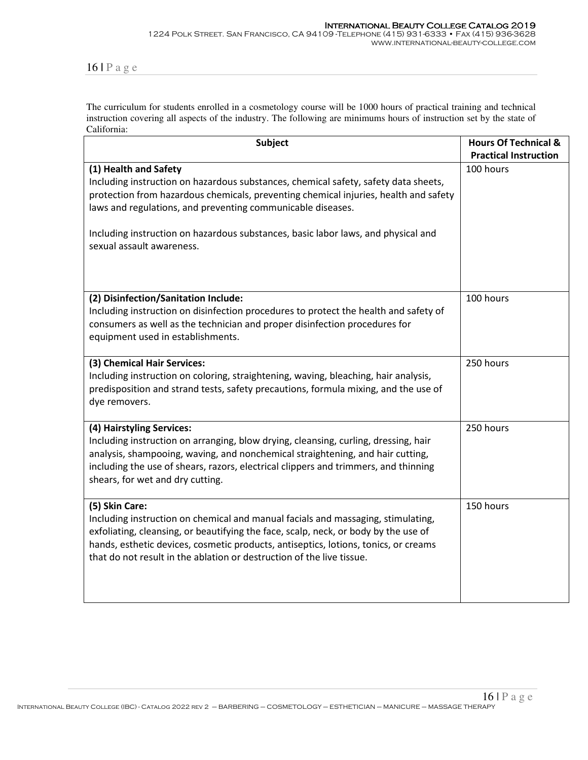The curriculum for students enrolled in a cosmetology course will be 1000 hours of practical training and technical instruction covering all aspects of the industry. The following are minimums hours of instruction set by the state of California:

| <b>Subject</b>                                                                                                                                                                                                                                                                                                                                            | <b>Hours Of Technical &amp;</b><br><b>Practical Instruction</b> |  |
|-----------------------------------------------------------------------------------------------------------------------------------------------------------------------------------------------------------------------------------------------------------------------------------------------------------------------------------------------------------|-----------------------------------------------------------------|--|
| (1) Health and Safety<br>Including instruction on hazardous substances, chemical safety, safety data sheets,<br>protection from hazardous chemicals, preventing chemical injuries, health and safety<br>laws and regulations, and preventing communicable diseases.<br>Including instruction on hazardous substances, basic labor laws, and physical and  | 100 hours                                                       |  |
| sexual assault awareness.                                                                                                                                                                                                                                                                                                                                 |                                                                 |  |
| (2) Disinfection/Sanitation Include:<br>Including instruction on disinfection procedures to protect the health and safety of<br>consumers as well as the technician and proper disinfection procedures for<br>equipment used in establishments.                                                                                                           | 100 hours                                                       |  |
| (3) Chemical Hair Services:<br>Including instruction on coloring, straightening, waving, bleaching, hair analysis,<br>predisposition and strand tests, safety precautions, formula mixing, and the use of<br>dye removers.                                                                                                                                | 250 hours                                                       |  |
| (4) Hairstyling Services:<br>Including instruction on arranging, blow drying, cleansing, curling, dressing, hair<br>analysis, shampooing, waving, and nonchemical straightening, and hair cutting,<br>including the use of shears, razors, electrical clippers and trimmers, and thinning<br>shears, for wet and dry cutting.                             | 250 hours                                                       |  |
| (5) Skin Care:<br>Including instruction on chemical and manual facials and massaging, stimulating,<br>exfoliating, cleansing, or beautifying the face, scalp, neck, or body by the use of<br>hands, esthetic devices, cosmetic products, antiseptics, lotions, tonics, or creams<br>that do not result in the ablation or destruction of the live tissue. | 150 hours                                                       |  |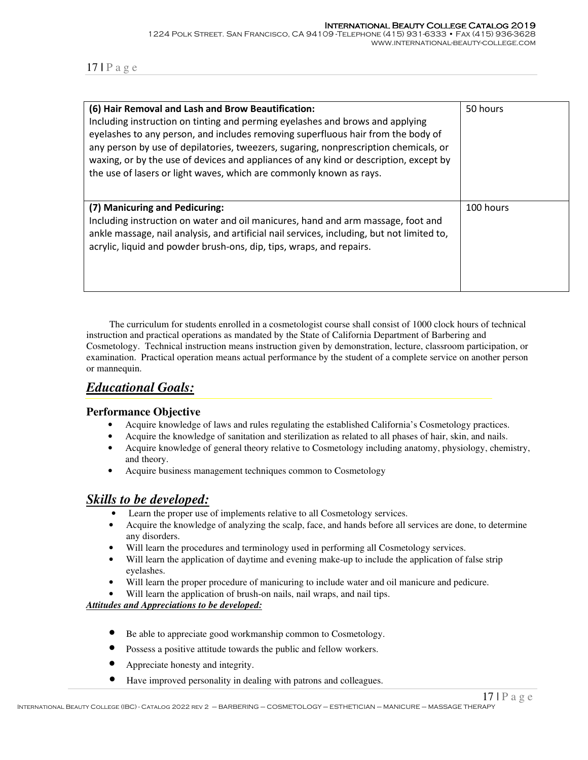| (6) Hair Removal and Lash and Brow Beautification:<br>Including instruction on tinting and perming eyelashes and brows and applying<br>eyelashes to any person, and includes removing superfluous hair from the body of<br>any person by use of depilatories, tweezers, sugaring, nonprescription chemicals, or<br>waxing, or by the use of devices and appliances of any kind or description, except by<br>the use of lasers or light waves, which are commonly known as rays. | 50 hours  |
|---------------------------------------------------------------------------------------------------------------------------------------------------------------------------------------------------------------------------------------------------------------------------------------------------------------------------------------------------------------------------------------------------------------------------------------------------------------------------------|-----------|
| (7) Manicuring and Pedicuring:<br>Including instruction on water and oil manicures, hand and arm massage, foot and<br>ankle massage, nail analysis, and artificial nail services, including, but not limited to,<br>acrylic, liquid and powder brush-ons, dip, tips, wraps, and repairs.                                                                                                                                                                                        | 100 hours |

 The curriculum for students enrolled in a cosmetologist course shall consist of 1000 clock hours of technical instruction and practical operations as mandated by the State of California Department of Barbering and Cosmetology. Technical instruction means instruction given by demonstration, lecture, classroom participation, or examination. Practical operation means actual performance by the student of a complete service on another person or mannequin.

# *Educational Goals:*

#### **Performance Objective**

- Acquire knowledge of laws and rules regulating the established California's Cosmetology practices.
- Acquire the knowledge of sanitation and sterilization as related to all phases of hair, skin, and nails.
- Acquire knowledge of general theory relative to Cosmetology including anatomy, physiology, chemistry, and theory.
- Acquire business management techniques common to Cosmetology

## *Skills to be developed:*

- Learn the proper use of implements relative to all Cosmetology services.
- Acquire the knowledge of analyzing the scalp, face, and hands before all services are done, to determine any disorders.
- Will learn the procedures and terminology used in performing all Cosmetology services.
- Will learn the application of daytime and evening make-up to include the application of false strip eyelashes.
- Will learn the proper procedure of manicuring to include water and oil manicure and pedicure.
- Will learn the application of brush-on nails, nail wraps, and nail tips.

#### *Attitudes and Appreciations to be developed:*

- Be able to appreciate good workmanship common to Cosmetology.
- Possess a positive attitude towards the public and fellow workers.
- Appreciate honesty and integrity.
- Have improved personality in dealing with patrons and colleagues.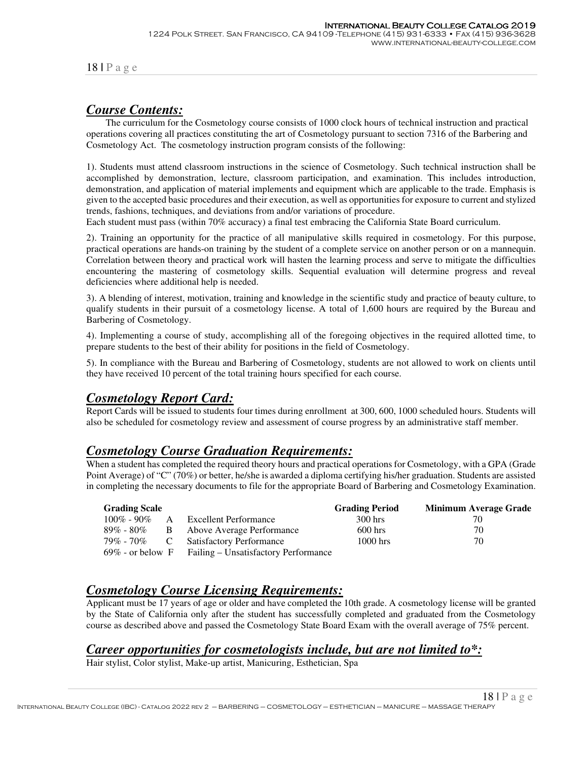## *Course Contents:*

 The curriculum for the Cosmetology course consists of 1000 clock hours of technical instruction and practical operations covering all practices constituting the art of Cosmetology pursuant to section 7316 of the Barbering and Cosmetology Act. The cosmetology instruction program consists of the following:

1). Students must attend classroom instructions in the science of Cosmetology. Such technical instruction shall be accomplished by demonstration, lecture, classroom participation, and examination. This includes introduction, demonstration, and application of material implements and equipment which are applicable to the trade. Emphasis is given to the accepted basic procedures and their execution, as well as opportunities for exposure to current and stylized trends, fashions, techniques, and deviations from and/or variations of procedure.

Each student must pass (within 70% accuracy) a final test embracing the California State Board curriculum.

2). Training an opportunity for the practice of all manipulative skills required in cosmetology. For this purpose, practical operations are hands-on training by the student of a complete service on another person or on a mannequin. Correlation between theory and practical work will hasten the learning process and serve to mitigate the difficulties encountering the mastering of cosmetology skills. Sequential evaluation will determine progress and reveal deficiencies where additional help is needed.

3). A blending of interest, motivation, training and knowledge in the scientific study and practice of beauty culture, to qualify students in their pursuit of a cosmetology license. A total of 1,600 hours are required by the Bureau and Barbering of Cosmetology.

4). Implementing a course of study, accomplishing all of the foregoing objectives in the required allotted time, to prepare students to the best of their ability for positions in the field of Cosmetology.

5). In compliance with the Bureau and Barbering of Cosmetology, students are not allowed to work on clients until they have received 10 percent of the total training hours specified for each course.

## *Cosmetology Report Card:*

Report Cards will be issued to students four times during enrollment at 300, 600, 1000 scheduled hours. Students will also be scheduled for cosmetology review and assessment of course progress by an administrative staff member.

#### *Cosmetology Course Graduation Requirements:*

When a student has completed the required theory hours and practical operations for Cosmetology, with a GPA (Grade Point Average) of "C" (70%) or better, he/she is awarded a diploma certifying his/her graduation. Students are assisted in completing the necessary documents to file for the appropriate Board of Barbering and Cosmetology Examination.

| <b>Grading Scale</b> |              |                                      | <b>Grading Period</b> | <b>Minimum Average Grade</b> |
|----------------------|--------------|--------------------------------------|-----------------------|------------------------------|
| $100\%$ - 90%        | $\mathsf{A}$ | Excellent Performance                | 300 hrs               | 70                           |
| $89\%$ - $80\%$      | B.           | Above Average Performance            | $600$ hrs             | 70                           |
| 79% - 70%            |              | <b>Satisfactory Performance</b>      | $1000$ hrs            | 70                           |
| $69\%$ - or below F  |              | Failing – Unsatisfactory Performance |                       |                              |

## *Cosmetology Course Licensing Requirements:*

Applicant must be 17 years of age or older and have completed the 10th grade. A cosmetology license will be granted by the State of California only after the student has successfully completed and graduated from the Cosmetology course as described above and passed the Cosmetology State Board Exam with the overall average of 75% percent.

## *Career opportunities for cosmetologists include, but are not limited to\*:*

Hair stylist, Color stylist, Make-up artist, Manicuring, Esthetician, Spa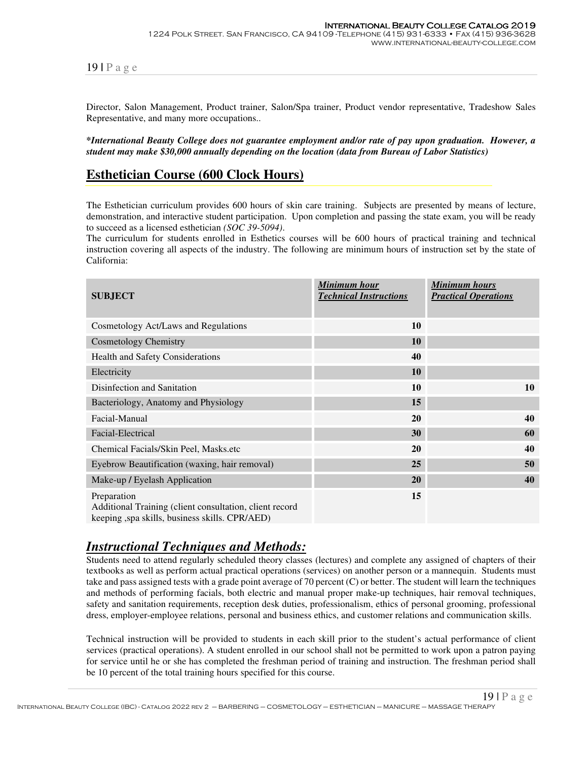Director, Salon Management, Product trainer, Salon/Spa trainer, Product vendor representative, Tradeshow Sales Representative, and many more occupations..

**\****International Beauty College does not guarantee employment and/or rate of pay upon graduation. However, a student may make \$30,000 annually depending on the location (data from Bureau of Labor Statistics)*

#### **Esthetician Course (600 Clock Hours)**

The Esthetician curriculum provides 600 hours of skin care training. Subjects are presented by means of lecture, demonstration, and interactive student participation. Upon completion and passing the state exam, you will be ready to succeed as a licensed esthetician *(SOC 39-5094)*.

The curriculum for students enrolled in Esthetics courses will be 600 hours of practical training and technical instruction covering all aspects of the industry. The following are minimum hours of instruction set by the state of California:

| <b>SUBJECT</b>                                                                                                            | Minimum hour<br><b>Technical Instructions</b> | <b>Minimum hours</b><br><b>Practical Operations</b> |
|---------------------------------------------------------------------------------------------------------------------------|-----------------------------------------------|-----------------------------------------------------|
| Cosmetology Act/Laws and Regulations                                                                                      | 10                                            |                                                     |
| <b>Cosmetology Chemistry</b>                                                                                              | <b>10</b>                                     |                                                     |
| Health and Safety Considerations                                                                                          | 40                                            |                                                     |
| Electricity                                                                                                               | 10                                            |                                                     |
| Disinfection and Sanitation                                                                                               | 10                                            | 10                                                  |
| Bacteriology, Anatomy and Physiology                                                                                      | 15                                            |                                                     |
| Facial-Manual                                                                                                             | <b>20</b>                                     | 40                                                  |
| Facial-Electrical                                                                                                         | 30                                            | 60                                                  |
| Chemical Facials/Skin Peel, Masks.etc                                                                                     | <b>20</b>                                     | 40                                                  |
| Eyebrow Beautification (waxing, hair removal)                                                                             | 25                                            | 50                                                  |
| Make-up / Eyelash Application                                                                                             | 20                                            | 40                                                  |
| Preparation<br>Additional Training (client consultation, client record<br>keeping , spa skills, business skills. CPR/AED) | 15                                            |                                                     |

#### *Instructional Techniques and Methods:*

Students need to attend regularly scheduled theory classes (lectures) and complete any assigned of chapters of their textbooks as well as perform actual practical operations (services) on another person or a mannequin. Students must take and pass assigned tests with a grade point average of 70 percent (C) or better. The student will learn the techniques and methods of performing facials, both electric and manual proper make-up techniques, hair removal techniques, safety and sanitation requirements, reception desk duties, professionalism, ethics of personal grooming, professional dress, employer-employee relations, personal and business ethics, and customer relations and communication skills.

Technical instruction will be provided to students in each skill prior to the student's actual performance of client services (practical operations). A student enrolled in our school shall not be permitted to work upon a patron paying for service until he or she has completed the freshman period of training and instruction. The freshman period shall be 10 percent of the total training hours specified for this course.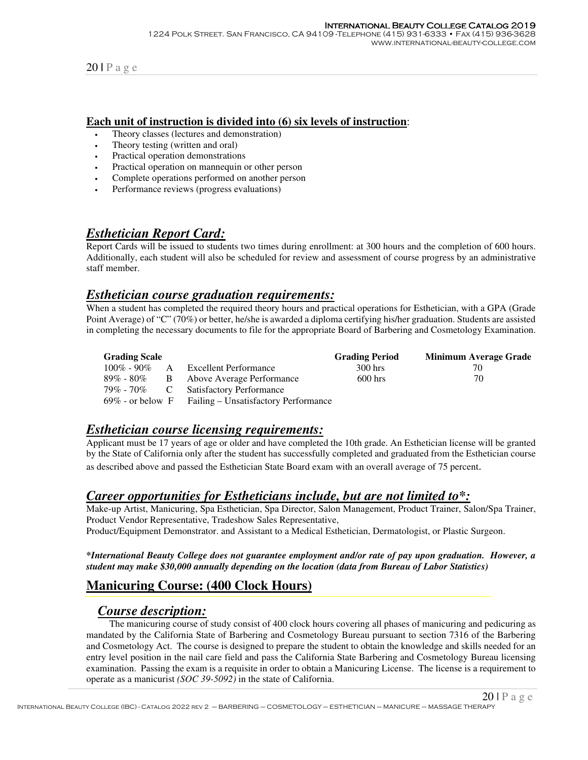#### **Each unit of instruction is divided into (6) six levels of instruction**:

- Theory classes (lectures and demonstration)
- Theory testing (written and oral)
- Practical operation demonstrations
- Practical operation on mannequin or other person
- Complete operations performed on another person
- Performance reviews (progress evaluations)

## *Esthetician Report Card:*

Report Cards will be issued to students two times during enrollment: at 300 hours and the completion of 600 hours. Additionally, each student will also be scheduled for review and assessment of course progress by an administrative staff member.

#### *Esthetician course graduation requirements:*

When a student has completed the required theory hours and practical operations for Esthetician, with a GPA (Grade Point Average) of "C" (70%) or better, he/she is awarded a diploma certifying his/her graduation. Students are assisted in completing the necessary documents to file for the appropriate Board of Barbering and Cosmetology Examination.

| <b>Grading Scale</b> |                                                          | <b>Grading Period</b> | <b>Minimum Average Grade</b> |
|----------------------|----------------------------------------------------------|-----------------------|------------------------------|
| $100\% - 90\%$ A     | Excellent Performance                                    | 300 hrs               | 70                           |
|                      | 89% - 80% B Above Average Performance                    | $600$ hrs             | 70                           |
|                      | 79% - 70% C Satisfactory Performance                     |                       |                              |
|                      | $69\%$ - or below F Failing – Unsatisfactory Performance |                       |                              |

#### *Esthetician course licensing requirements:*

Applicant must be 17 years of age or older and have completed the 10th grade. An Esthetician license will be granted by the State of California only after the student has successfully completed and graduated from the Esthetician course as described above and passed the Esthetician State Board exam with an overall average of 75 percent.

#### *Career opportunities for Estheticians include, but are not limited to\*:*

Make-up Artist, Manicuring, Spa Esthetician, Spa Director, Salon Management, Product Trainer, Salon/Spa Trainer, Product Vendor Representative, Tradeshow Sales Representative,

Product/Equipment Demonstrator. and Assistant to a Medical Esthetician, Dermatologist, or Plastic Surgeon.

#### **\****International Beauty College does not guarantee employment and/or rate of pay upon graduation. However, a student may make \$30,000 annually depending on the location (data from Bureau of Labor Statistics)*

## **Manicuring Course: (400 Clock Hours)**

#### *Course description:*

 The manicuring course of study consist of 400 clock hours covering all phases of manicuring and pedicuring as mandated by the California State of Barbering and Cosmetology Bureau pursuant to section 7316 of the Barbering and Cosmetology Act. The course is designed to prepare the student to obtain the knowledge and skills needed for an entry level position in the nail care field and pass the California State Barbering and Cosmetology Bureau licensing examination. Passing the exam is a requisite in order to obtain a Manicuring License. The license is a requirement to operate as a manicurist *(SOC 39-5092)* in the state of California.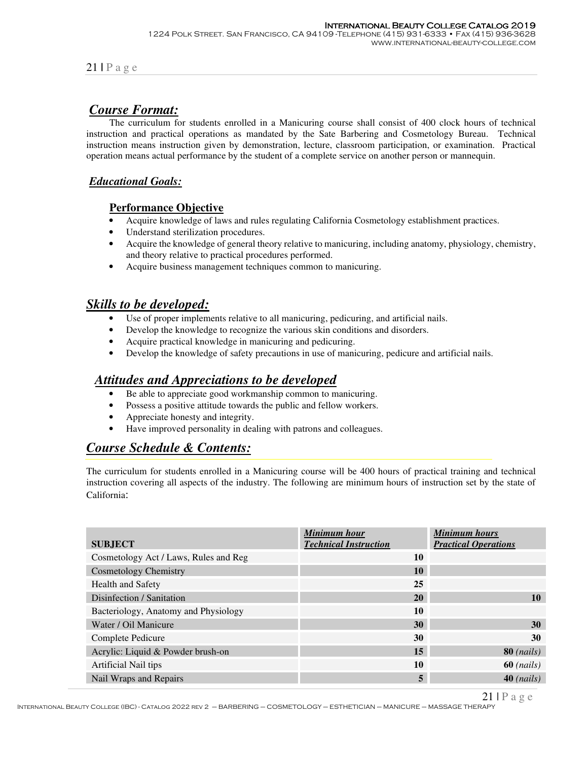## *Course Format:*

 The curriculum for students enrolled in a Manicuring course shall consist of 400 clock hours of technical instruction and practical operations as mandated by the Sate Barbering and Cosmetology Bureau. Technical instruction means instruction given by demonstration, lecture, classroom participation, or examination. Practical operation means actual performance by the student of a complete service on another person or mannequin.

#### *Educational Goals:*

#### **Performance Objective**

- Acquire knowledge of laws and rules regulating California Cosmetology establishment practices.
- Understand sterilization procedures.
- Acquire the knowledge of general theory relative to manicuring, including anatomy, physiology, chemistry, and theory relative to practical procedures performed.
- Acquire business management techniques common to manicuring.

#### *Skills to be developed:*

- Use of proper implements relative to all manicuring, pedicuring, and artificial nails.
- Develop the knowledge to recognize the various skin conditions and disorders.
- Acquire practical knowledge in manicuring and pedicuring.
- Develop the knowledge of safety precautions in use of manicuring, pedicure and artificial nails.

#### *Attitudes and Appreciations to be developed*

- Be able to appreciate good workmanship common to manicuring.
- Possess a positive attitude towards the public and fellow workers.
- Appreciate honesty and integrity.
- Have improved personality in dealing with patrons and colleagues.

## *Course Schedule & Contents:*

The curriculum for students enrolled in a Manicuring course will be 400 hours of practical training and technical instruction covering all aspects of the industry. The following are minimum hours of instruction set by the state of California:

| <b>SUBJECT</b>                        | Minimum hour<br><b>Technical Instruction</b> | <b>Minimum hours</b><br><b>Practical Operations</b> |
|---------------------------------------|----------------------------------------------|-----------------------------------------------------|
| Cosmetology Act / Laws, Rules and Reg | 10                                           |                                                     |
| <b>Cosmetology Chemistry</b>          | 10                                           |                                                     |
| <b>Health and Safety</b>              | 25                                           |                                                     |
| Disinfection / Sanitation             | 20                                           | 10                                                  |
| Bacteriology, Anatomy and Physiology  | 10                                           |                                                     |
| Water / Oil Manicure                  | 30                                           | 30                                                  |
| Complete Pedicure                     | 30                                           | 30                                                  |
| Acrylic: Liquid & Powder brush-on     | 15                                           | $80$ ( <i>nails</i> )                               |
| Artificial Nail tips                  | 10                                           | $60$ ( <i>nails</i> )                               |
| Nail Wraps and Repairs                | 5                                            | $40$ ( <i>nails</i> )                               |

International Beauty College (IBC) - Catalog 2022 rev 2 – BARBERING – COSMETOLOGY – ESTHETICIAN – MANICURE – MASSAGE THERAPY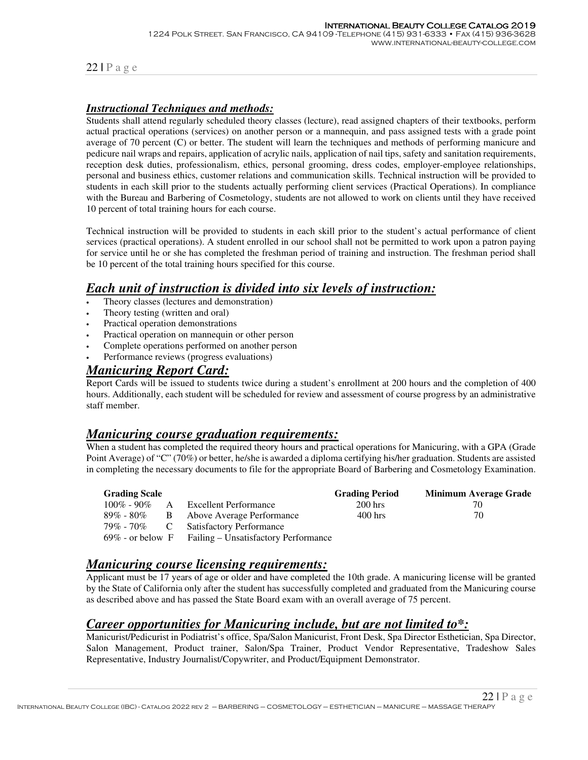#### *Instructional Techniques and methods:*

Students shall attend regularly scheduled theory classes (lecture), read assigned chapters of their textbooks, perform actual practical operations (services) on another person or a mannequin, and pass assigned tests with a grade point average of 70 percent (C) or better. The student will learn the techniques and methods of performing manicure and pedicure nail wraps and repairs, application of acrylic nails, application of nail tips, safety and sanitation requirements, reception desk duties, professionalism, ethics, personal grooming, dress codes, employer-employee relationships, personal and business ethics, customer relations and communication skills. Technical instruction will be provided to students in each skill prior to the students actually performing client services (Practical Operations). In compliance with the Bureau and Barbering of Cosmetology, students are not allowed to work on clients until they have received 10 percent of total training hours for each course.

Technical instruction will be provided to students in each skill prior to the student's actual performance of client services (practical operations). A student enrolled in our school shall not be permitted to work upon a patron paying for service until he or she has completed the freshman period of training and instruction. The freshman period shall be 10 percent of the total training hours specified for this course.

#### *Each unit of instruction is divided into six levels of instruction:*

- Theory classes (lectures and demonstration)
- Theory testing (written and oral)
- Practical operation demonstrations
- Practical operation on mannequin or other person
- Complete operations performed on another person
- Performance reviews (progress evaluations)

#### *Manicuring Report Card:*

Report Cards will be issued to students twice during a student's enrollment at 200 hours and the completion of 400 hours. Additionally, each student will be scheduled for review and assessment of course progress by an administrative staff member.

#### *Manicuring course graduation requirements:*

When a student has completed the required theory hours and practical operations for Manicuring, with a GPA (Grade Point Average) of "C" (70%) or better, he/she is awarded a diploma certifying his/her graduation. Students are assisted in completing the necessary documents to file for the appropriate Board of Barbering and Cosmetology Examination.

| <b>Grading Scale</b> |    |                                                          | <b>Grading Period</b> | Minimum Average Grade |
|----------------------|----|----------------------------------------------------------|-----------------------|-----------------------|
| $100\%$ - 90%        | A  | Excellent Performance                                    | $200$ hrs             | 70                    |
| $89\%$ - $80\%$      | B. | Above Average Performance                                | $400$ hrs             | 70                    |
| 79% - 70%            | C  | <b>Satisfactory Performance</b>                          |                       |                       |
|                      |    | $69\%$ - or below F Failing – Unsatisfactory Performance |                       |                       |

## *Manicuring course licensing requirements:*

Applicant must be 17 years of age or older and have completed the 10th grade. A manicuring license will be granted by the State of California only after the student has successfully completed and graduated from the Manicuring course as described above and has passed the State Board exam with an overall average of 75 percent.

## *Career opportunities for Manicuring include, but are not limited to\*:*

Manicurist/Pedicurist in Podiatrist's office, Spa/Salon Manicurist, Front Desk, Spa Director Esthetician, Spa Director, Salon Management, Product trainer, Salon/Spa Trainer, Product Vendor Representative, Tradeshow Sales Representative, Industry Journalist/Copywriter, and Product/Equipment Demonstrator.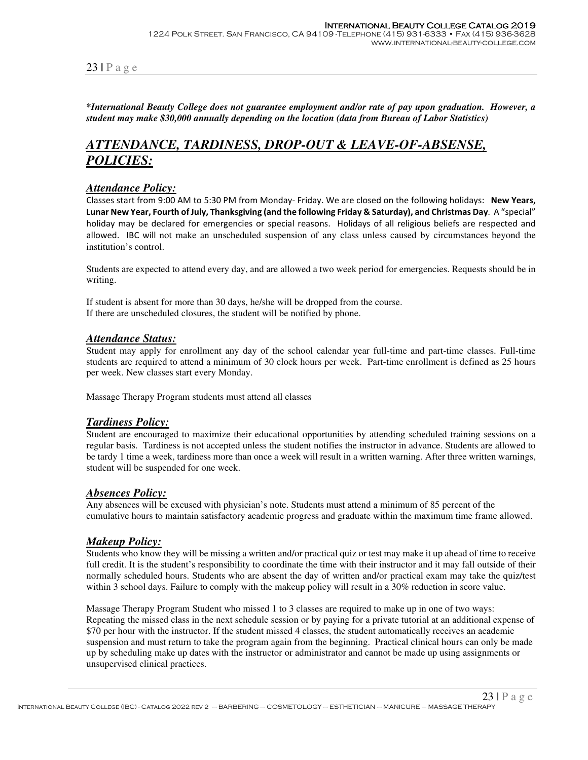#### **\****International Beauty College does not guarantee employment and/or rate of pay upon graduation. However, a student may make \$30,000 annually depending on the location (data from Bureau of Labor Statistics)*

# *ATTENDANCE, TARDINESS, DROP-OUT & LEAVE-OF-ABSENSE, POLICIES:*

#### *Attendance Policy:*

Classes start from 9:00 AM to 5:30 PM from Monday- Friday. We are closed on the following holidays: **New Years, Lunar New Year, Fourth of July, Thanksgiving (and the following Friday & Saturday), and Christmas Day**. A "special" holiday may be declared for emergencies or special reasons. Holidays of all religious beliefs are respected and allowed. IBC will not make an unscheduled suspension of any class unless caused by circumstances beyond the institution's control.

Students are expected to attend every day, and are allowed a two week period for emergencies. Requests should be in writing.

If student is absent for more than 30 days, he/she will be dropped from the course. If there are unscheduled closures, the student will be notified by phone.

#### *Attendance Status:*

Student may apply for enrollment any day of the school calendar year full-time and part-time classes. Full-time students are required to attend a minimum of 30 clock hours per week. Part-time enrollment is defined as 25 hours per week. New classes start every Monday.

Massage Therapy Program students must attend all classes

#### *Tardiness Policy:*

Student are encouraged to maximize their educational opportunities by attending scheduled training sessions on a regular basis. Tardiness is not accepted unless the student notifies the instructor in advance. Students are allowed to be tardy 1 time a week, tardiness more than once a week will result in a written warning. After three written warnings, student will be suspended for one week.

#### *Absences Policy:*

Any absences will be excused with physician's note. Students must attend a minimum of 85 percent of the cumulative hours to maintain satisfactory academic progress and graduate within the maximum time frame allowed.

#### *Makeup Policy:*

Students who know they will be missing a written and/or practical quiz or test may make it up ahead of time to receive full credit. It is the student's responsibility to coordinate the time with their instructor and it may fall outside of their normally scheduled hours. Students who are absent the day of written and/or practical exam may take the quiz/test within 3 school days. Failure to comply with the makeup policy will result in a 30% reduction in score value.

Massage Therapy Program Student who missed 1 to 3 classes are required to make up in one of two ways: Repeating the missed class in the next schedule session or by paying for a private tutorial at an additional expense of \$70 per hour with the instructor. If the student missed 4 classes, the student automatically receives an academic suspension and must return to take the program again from the beginning. Practical clinical hours can only be made up by scheduling make up dates with the instructor or administrator and cannot be made up using assignments or unsupervised clinical practices.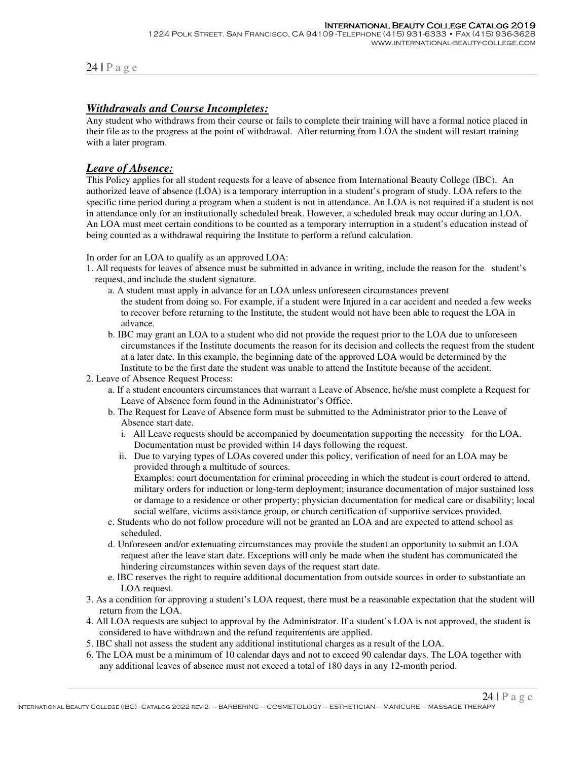#### *Withdrawals and Course Incompletes:*

Any student who withdraws from their course or fails to complete their training will have a formal notice placed in their file as to the progress at the point of withdrawal. After returning from LOA the student will restart training with a later program.

#### *Leave of Absence:*

This Policy applies for all student requests for a leave of absence from International Beauty College (IBC). An authorized leave of absence (LOA) is a temporary interruption in a student's program of study. LOA refers to the specific time period during a program when a student is not in attendance. An LOA is not required if a student is not in attendance only for an institutionally scheduled break. However, a scheduled break may occur during an LOA. An LOA must meet certain conditions to be counted as a temporary interruption in a student's education instead of being counted as a withdrawal requiring the Institute to perform a refund calculation.

In order for an LOA to qualify as an approved LOA:

- 1. All requests for leaves of absence must be submitted in advance in writing, include the reason for the student's request, and include the student signature.
	- a. A student must apply in advance for an LOA unless unforeseen circumstances prevent the student from doing so. For example, if a student were Injured in a car accident and needed a few weeks to recover before returning to the Institute, the student would not have been able to request the LOA in advance.
	- b. IBC may grant an LOA to a student who did not provide the request prior to the LOA due to unforeseen circumstances if the Institute documents the reason for its decision and collects the request from the student at a later date. In this example, the beginning date of the approved LOA would be determined by the Institute to be the first date the student was unable to attend the Institute because of the accident.
- 2. Leave of Absence Request Process:
	- a. If a student encounters circumstances that warrant a Leave of Absence, he/she must complete a Request for Leave of Absence form found in the Administrator's Office.
	- b. The Request for Leave of Absence form must be submitted to the Administrator prior to the Leave of Absence start date.
		- i. All Leave requests should be accompanied by documentation supporting the necessity for the LOA. Documentation must be provided within 14 days following the request.
		- ii. Due to varying types of LOAs covered under this policy, verification of need for an LOA may be provided through a multitude of sources.

Examples: court documentation for criminal proceeding in which the student is court ordered to attend, military orders for induction or long-term deployment; insurance documentation of major sustained loss or damage to a residence or other property; physician documentation for medical care or disability; local social welfare, victims assistance group, or church certification of supportive services provided.

- c. Students who do not follow procedure will not be granted an LOA and are expected to attend school as scheduled.
- d. Unforeseen and/or extenuating circumstances may provide the student an opportunity to submit an LOA request after the leave start date. Exceptions will only be made when the student has communicated the hindering circumstances within seven days of the request start date.
- e. IBC reserves the right to require additional documentation from outside sources in order to substantiate an LOA request.
- 3. As a condition for approving a student's LOA request, there must be a reasonable expectation that the student will return from the LOA.
- 4. All LOA requests are subject to approval by the Administrator. If a student's LOA is not approved, the student is considered to have withdrawn and the refund requirements are applied.
- 5. IBC shall not assess the student any additional institutional charges as a result of the LOA.
- 6. The LOA must be a minimum of 10 calendar days and not to exceed 90 calendar days. The LOA together with any additional leaves of absence must not exceed a total of 180 days in any 12-month period.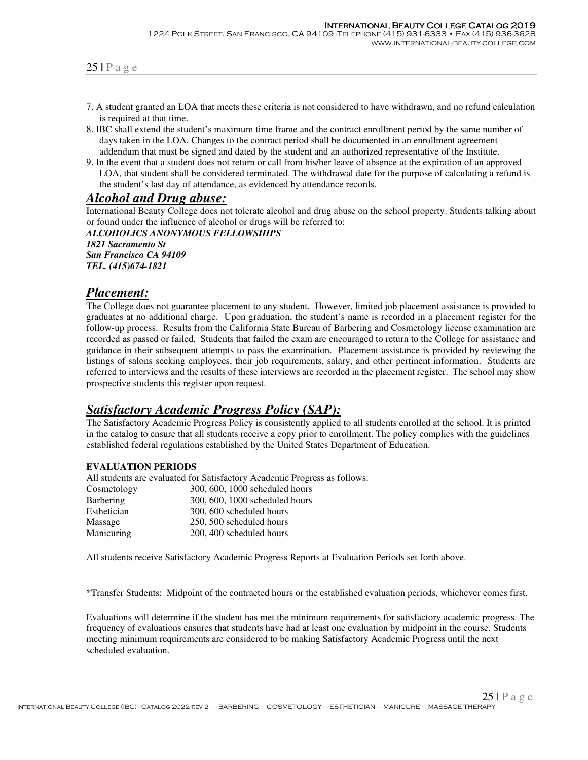- 7. A student granted an LOA that meets these criteria is not considered to have withdrawn, and no refund calculation is required at that time.
- 8. IBC shall extend the student's maximum time frame and the contract enrollment period by the same number of days taken in the LOA. Changes to the contract period shall be documented in an enrollment agreement addendum that must be signed and dated by the student and an authorized representative of the Institute.
- 9. In the event that a student does not return or call from his/her leave of absence at the expiration of an approved LOA, that student shall be considered terminated. The withdrawal date for the purpose of calculating a refund is the student's last day of attendance, as evidenced by attendance records.

#### *Alcohol and Drug abuse:*

International Beauty College does not tolerate alcohol and drug abuse on the school property. Students talking about or found under the influence of alcohol or drugs will be referred to:

*ALCOHOLICS ANONYMOUS FELLOWSHIPS 1821 Sacramento St San Francisco CA 94109 TEL. (415)674-1821*

#### *Placement:*

The College does not guarantee placement to any student. However, limited job placement assistance is provided to graduates at no additional charge. Upon graduation, the student's name is recorded in a placement register for the follow-up process. Results from the California State Bureau of Barbering and Cosmetology license examination are recorded as passed or failed. Students that failed the exam are encouraged to return to the College for assistance and guidance in their subsequent attempts to pass the examination. Placement assistance is provided by reviewing the listings of salons seeking employees, their job requirements, salary, and other pertinent information. Students are referred to interviews and the results of these interviews are recorded in the placement register. The school may show prospective students this register upon request.

## *Satisfactory Academic Progress Policy (SAP):*

The Satisfactory Academic Progress Policy is consistently applied to all students enrolled at the school. It is printed in the catalog to ensure that all students receive a copy prior to enrollment. The policy complies with the guidelines established federal regulations established by the United States Department of Education.

#### **EVALUATION PERIODS**

All students are evaluated for Satisfactory Academic Progress as follows:

| Cosmetology      | 300, 600, 1000 scheduled hours |
|------------------|--------------------------------|
| <b>Barbering</b> | 300, 600, 1000 scheduled hours |
| Esthetician      | 300, 600 scheduled hours       |
| Massage          | 250, 500 scheduled hours       |
| Manicuring       | 200, 400 scheduled hours       |
|                  |                                |

All students receive Satisfactory Academic Progress Reports at Evaluation Periods set forth above.

\*Transfer Students: Midpoint of the contracted hours or the established evaluation periods, whichever comes first.

Evaluations will determine if the student has met the minimum requirements for satisfactory academic progress. The frequency of evaluations ensures that students have had at least one evaluation by midpoint in the course. Students meeting minimum requirements are considered to be making Satisfactory Academic Progress until the next scheduled evaluation.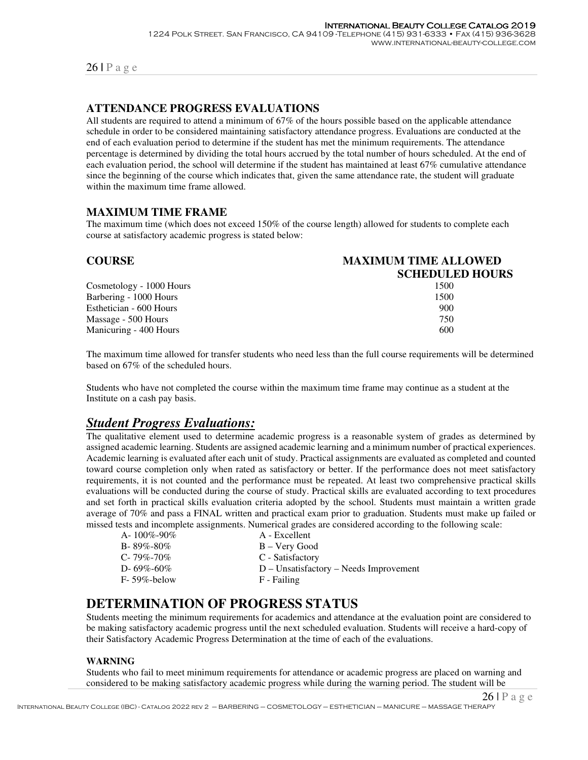#### **ATTENDANCE PROGRESS EVALUATIONS**

All students are required to attend a minimum of 67% of the hours possible based on the applicable attendance schedule in order to be considered maintaining satisfactory attendance progress. Evaluations are conducted at the end of each evaluation period to determine if the student has met the minimum requirements. The attendance percentage is determined by dividing the total hours accrued by the total number of hours scheduled. At the end of each evaluation period, the school will determine if the student has maintained at least 67% cumulative attendance since the beginning of the course which indicates that, given the same attendance rate, the student will graduate within the maximum time frame allowed.

#### **MAXIMUM TIME FRAME**

The maximum time (which does not exceed 150% of the course length) allowed for students to complete each course at satisfactory academic progress is stated below:

| <b>COURSE</b>            | <b>MAXIMUM TIME ALLOWED</b> |  |  |  |
|--------------------------|-----------------------------|--|--|--|
|                          | <b>SCHEDULED HOURS</b>      |  |  |  |
| Cosmetology - 1000 Hours | 1500                        |  |  |  |
| Barbering - 1000 Hours   | 1500                        |  |  |  |
| Esthetician - 600 Hours  | 900                         |  |  |  |
| Massage - 500 Hours      | 750                         |  |  |  |
| Manicuring - 400 Hours   | 600                         |  |  |  |

The maximum time allowed for transfer students who need less than the full course requirements will be determined based on 67% of the scheduled hours.

Students who have not completed the course within the maximum time frame may continue as a student at the Institute on a cash pay basis.

# *Student Progress Evaluations:*

The qualitative element used to determine academic progress is a reasonable system of grades as determined by assigned academic learning. Students are assigned academic learning and a minimum number of practical experiences. Academic learning is evaluated after each unit of study. Practical assignments are evaluated as completed and counted toward course completion only when rated as satisfactory or better. If the performance does not meet satisfactory requirements, it is not counted and the performance must be repeated. At least two comprehensive practical skills evaluations will be conducted during the course of study. Practical skills are evaluated according to text procedures and set forth in practical skills evaluation criteria adopted by the school. Students must maintain a written grade average of 70% and pass a FINAL written and practical exam prior to graduation. Students must make up failed or missed tests and incomplete assignments. Numerical grades are considered according to the following scale:

| A-100\%-90\%      | A - Excellent                            |
|-------------------|------------------------------------------|
| $B - 89\% - 80\%$ | B – Very Good                            |
| $C - 79\% - 70\%$ | C - Satisfactory                         |
| D-69%-60%         | $D$ – Unsatisfactory – Needs Improvement |
| $F-59\%$ -below   | F - Failing                              |
|                   |                                          |

## **DETERMINATION OF PROGRESS STATUS**

Students meeting the minimum requirements for academics and attendance at the evaluation point are considered to be making satisfactory academic progress until the next scheduled evaluation. Students will receive a hard-copy of their Satisfactory Academic Progress Determination at the time of each of the evaluations.

#### **WARNING**

Students who fail to meet minimum requirements for attendance or academic progress are placed on warning and considered to be making satisfactory academic progress while during the warning period. The student will be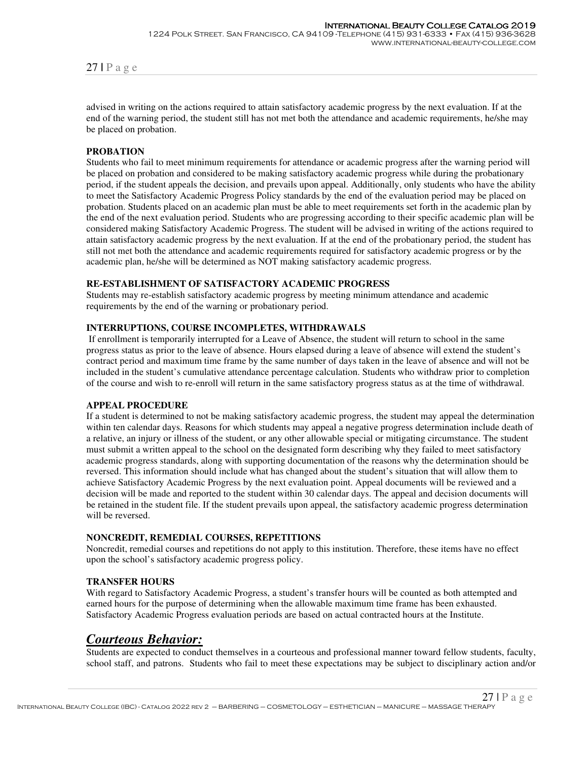advised in writing on the actions required to attain satisfactory academic progress by the next evaluation. If at the end of the warning period, the student still has not met both the attendance and academic requirements, he/she may be placed on probation.

#### **PROBATION**

Students who fail to meet minimum requirements for attendance or academic progress after the warning period will be placed on probation and considered to be making satisfactory academic progress while during the probationary period, if the student appeals the decision, and prevails upon appeal. Additionally, only students who have the ability to meet the Satisfactory Academic Progress Policy standards by the end of the evaluation period may be placed on probation. Students placed on an academic plan must be able to meet requirements set forth in the academic plan by the end of the next evaluation period. Students who are progressing according to their specific academic plan will be considered making Satisfactory Academic Progress. The student will be advised in writing of the actions required to attain satisfactory academic progress by the next evaluation. If at the end of the probationary period, the student has still not met both the attendance and academic requirements required for satisfactory academic progress or by the academic plan, he/she will be determined as NOT making satisfactory academic progress.

#### **RE-ESTABLISHMENT OF SATISFACTORY ACADEMIC PROGRESS**

Students may re-establish satisfactory academic progress by meeting minimum attendance and academic requirements by the end of the warning or probationary period.

#### **INTERRUPTIONS, COURSE INCOMPLETES, WITHDRAWALS**

If enrollment is temporarily interrupted for a Leave of Absence, the student will return to school in the same progress status as prior to the leave of absence. Hours elapsed during a leave of absence will extend the student's contract period and maximum time frame by the same number of days taken in the leave of absence and will not be included in the student's cumulative attendance percentage calculation. Students who withdraw prior to completion of the course and wish to re-enroll will return in the same satisfactory progress status as at the time of withdrawal.

#### **APPEAL PROCEDURE**

If a student is determined to not be making satisfactory academic progress, the student may appeal the determination within ten calendar days. Reasons for which students may appeal a negative progress determination include death of a relative, an injury or illness of the student, or any other allowable special or mitigating circumstance. The student must submit a written appeal to the school on the designated form describing why they failed to meet satisfactory academic progress standards, along with supporting documentation of the reasons why the determination should be reversed. This information should include what has changed about the student's situation that will allow them to achieve Satisfactory Academic Progress by the next evaluation point. Appeal documents will be reviewed and a decision will be made and reported to the student within 30 calendar days. The appeal and decision documents will be retained in the student file. If the student prevails upon appeal, the satisfactory academic progress determination will be reversed.

#### **NONCREDIT, REMEDIAL COURSES, REPETITIONS**

Noncredit, remedial courses and repetitions do not apply to this institution. Therefore, these items have no effect upon the school's satisfactory academic progress policy.

#### **TRANSFER HOURS**

With regard to Satisfactory Academic Progress, a student's transfer hours will be counted as both attempted and earned hours for the purpose of determining when the allowable maximum time frame has been exhausted. Satisfactory Academic Progress evaluation periods are based on actual contracted hours at the Institute.

#### *Courteous Behavior:*

Students are expected to conduct themselves in a courteous and professional manner toward fellow students, faculty, school staff, and patrons. Students who fail to meet these expectations may be subject to disciplinary action and/or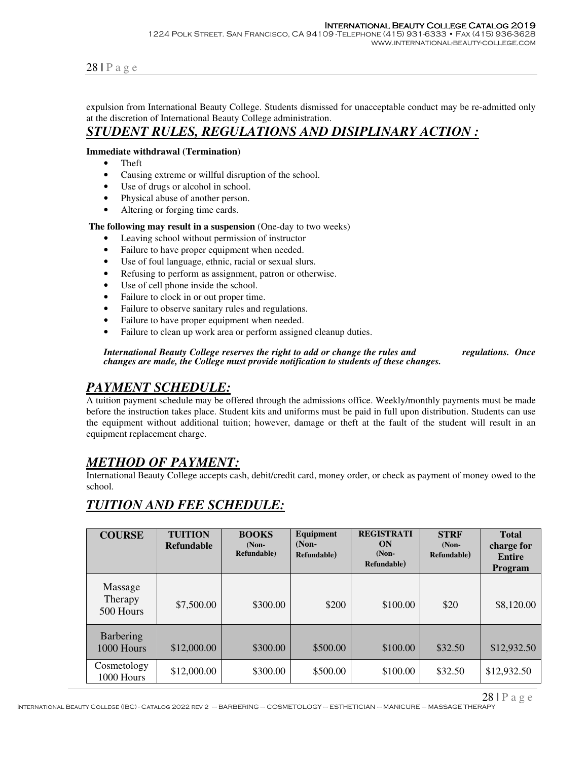expulsion from International Beauty College. Students dismissed for unacceptable conduct may be re-admitted only at the discretion of International Beauty College administration.

#### *STUDENT RULES, REGULATIONS AND DISIPLINARY ACTION :*

#### **Immediate withdrawal (Termination)**

- Theft
- Causing extreme or willful disruption of the school.
- Use of drugs or alcohol in school.
- Physical abuse of another person.
- Altering or forging time cards.

 **The following may result in a suspension** (One-day to two weeks)

- Leaving school without permission of instructor
- Failure to have proper equipment when needed.
- Use of foul language, ethnic, racial or sexual slurs.
- Refusing to perform as assignment, patron or otherwise.
- Use of cell phone inside the school.
- Failure to clock in or out proper time.
- Failure to observe sanitary rules and regulations.
- Failure to have proper equipment when needed.
- Failure to clean up work area or perform assigned cleanup duties.

*International Beauty College reserves the right to add or change the rules and regulations. Once changes are made, the College must provide notification to students of these changes.*

#### *PAYMENT SCHEDULE:*

A tuition payment schedule may be offered through the admissions office. Weekly/monthly payments must be made before the instruction takes place. Student kits and uniforms must be paid in full upon distribution. Students can use the equipment without additional tuition; however, damage or theft at the fault of the student will result in an equipment replacement charge.

## *METHOD OF PAYMENT:*

International Beauty College accepts cash, debit/credit card, money order, or check as payment of money owed to the school.

## *TUITION AND FEE SCHEDULE:*

| <b>COURSE</b>                          | <b>TUITION</b><br><b>Refundable</b> | <b>BOOKS</b><br>$(Non-$<br>Refundable) | Equipment<br>$(Non-$<br>Refundable) | <b>REGISTRATI</b><br>ON<br>$(Non-$<br>Refundable) | <b>STRF</b><br>$(Non-$<br>Refundable) | <b>Total</b><br>charge for<br><b>Entire</b><br><b>Program</b> |
|----------------------------------------|-------------------------------------|----------------------------------------|-------------------------------------|---------------------------------------------------|---------------------------------------|---------------------------------------------------------------|
| Massage<br><b>Therapy</b><br>500 Hours | \$7,500.00                          | \$300.00                               | \$200                               | \$100.00                                          | \$20                                  | \$8,120.00                                                    |
| Barbering<br>1000 Hours                | \$12,000.00                         | \$300.00                               | \$500.00                            | \$100.00                                          | \$32.50                               | \$12,932.50                                                   |
| Cosmetology<br>1000 Hours              | \$12,000.00                         | \$300.00                               | \$500.00                            | \$100.00                                          | \$32.50                               | \$12,932.50                                                   |

28 | P a g e

International Beauty College (IBC) - Catalog 2022 rev 2 – BARBERING – COSMETOLOGY – ESTHETICIAN – MANICURE – MASSAGE THERAPY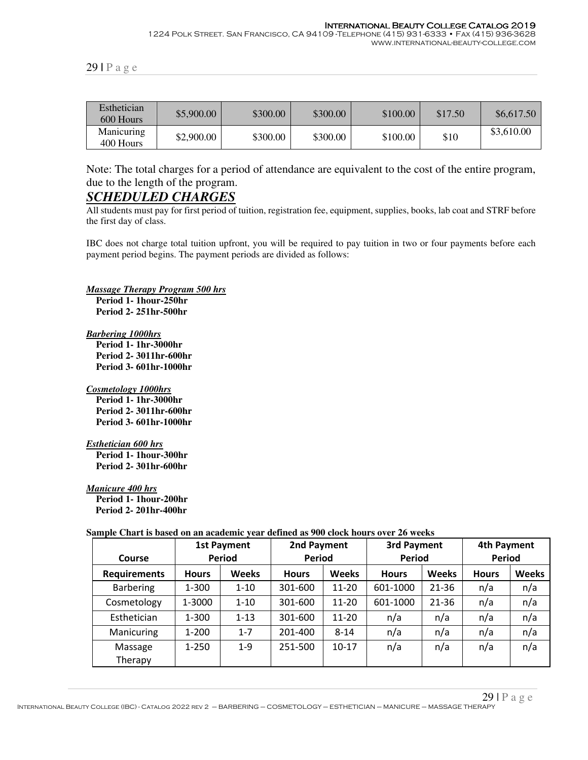#### International Beauty College Catalog 2019

1224 Polk Street. San Francisco, CA 94109 -Telephone (415) 931-6333 • Fax (415) 936-3628 www.international-beauty-college.com

| Esthetician<br>600 Hours | \$5,900.00 | \$300.00 | \$300.00 | \$100.00 | \$17.50 | \$6,617.50 |
|--------------------------|------------|----------|----------|----------|---------|------------|
| Manicuring<br>400 Hours  | \$2,900.00 | \$300.00 | \$300.00 | \$100.00 | \$10    | \$3,610.00 |

Note: The total charges for a period of attendance are equivalent to the cost of the entire program, due to the length of the program.

## *SCHEDULED CHARGES*

All students must pay for first period of tuition, registration fee, equipment, supplies, books, lab coat and STRF before the first day of class.

IBC does not charge total tuition upfront, you will be required to pay tuition in two or four payments before each payment period begins. The payment periods are divided as follows:

*Massage Therapy Program 500 hrs*

 **Period 1- 1hour-250hr Period 2- 251hr-500hr** 

*Barbering 1000hrs*

 **Period 1- 1hr-3000hr Period 2- 3011hr-600hr Period 3- 601hr-1000hr** 

*Cosmetology 1000hrs*

 **Period 1- 1hr-3000hr Period 2- 3011hr-600hr Period 3- 601hr-1000hr** 

*Esthetician 600 hrs*

 **Period 1- 1hour-300hr Period 2- 301hr-600hr** 

*Manicure 400 hrs*

 **Period 1- 1hour-200hr Period 2- 201hr-400hr** 

#### **Sample Chart is based on an academic year defined as 900 clock hours over 26 weeks**

| <b>Course</b>       | <b>1st Payment</b><br>Period |              | 2nd Payment<br><b>Period</b> |              | 3rd Payment<br><b>Period</b> |              | 4th Payment<br>Period |              |
|---------------------|------------------------------|--------------|------------------------------|--------------|------------------------------|--------------|-----------------------|--------------|
| <b>Requirements</b> | <b>Hours</b>                 | <b>Weeks</b> | <b>Hours</b>                 | <b>Weeks</b> | <b>Hours</b>                 | <b>Weeks</b> | <b>Hours</b>          | <b>Weeks</b> |
| <b>Barbering</b>    | $1 - 300$                    | $1 - 10$     | 301-600                      | $11 - 20$    | 601-1000                     | $21 - 36$    | n/a                   | n/a          |
| Cosmetology         | 1-3000                       | $1 - 10$     | 301-600                      | $11 - 20$    | 601-1000                     | $21 - 36$    | n/a                   | n/a          |
| Esthetician         | 1-300                        | $1 - 13$     | 301-600                      | $11 - 20$    | n/a                          | n/a          | n/a                   | n/a          |
| Manicuring          | $1 - 200$                    | $1 - 7$      | 201-400                      | $8 - 14$     | n/a                          | n/a          | n/a                   | n/a          |
| Massage<br>Therapy  | $1 - 250$                    | $1 - 9$      | 251-500                      | $10 - 17$    | n/a                          | n/a          | n/a                   | n/a          |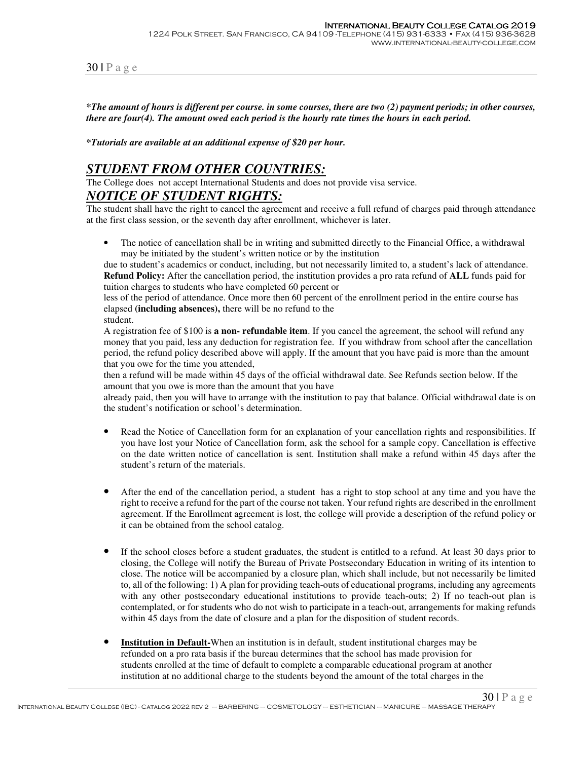*\*The amount of hours is different per course. in some courses, there are two (2) payment periods; in other courses, there are four(4). The amount owed each period is the hourly rate times the hours in each period.*

*\*Tutorials are available at an additional expense of \$20 per hour.* 

## *STUDENT FROM OTHER COUNTRIES:*

The College does not accept International Students and does not provide visa service.

#### *NOTICE OF STUDENT RIGHTS:*

The student shall have the right to cancel the agreement and receive a full refund of charges paid through attendance at the first class session, or the seventh day after enrollment, whichever is later.

• The notice of cancellation shall be in writing and submitted directly to the Financial Office, a withdrawal may be initiated by the student's written notice or by the institution

due to student's academics or conduct, including, but not necessarily limited to, a student's lack of attendance. **Refund Policy:** After the cancellation period, the institution provides a pro rata refund of **ALL** funds paid for tuition charges to students who have completed 60 percent or

less of the period of attendance. Once more then 60 percent of the enrollment period in the entire course has elapsed **(including absences),** there will be no refund to the

student.

A registration fee of \$100 is **a non- refundable item**. If you cancel the agreement, the school will refund any money that you paid, less any deduction for registration fee. If you withdraw from school after the cancellation period, the refund policy described above will apply. If the amount that you have paid is more than the amount that you owe for the time you attended,

then a refund will be made within 45 days of the official withdrawal date. See Refunds section below. If the amount that you owe is more than the amount that you have

already paid, then you will have to arrange with the institution to pay that balance. Official withdrawal date is on the student's notification or school's determination.

- Read the Notice of Cancellation form for an explanation of your cancellation rights and responsibilities. If you have lost your Notice of Cancellation form, ask the school for a sample copy. Cancellation is effective on the date written notice of cancellation is sent. Institution shall make a refund within 45 days after the student's return of the materials.
- After the end of the cancellation period, a student has a right to stop school at any time and you have the right to receive a refund for the part of the course not taken. Your refund rights are described in the enrollment agreement. If the Enrollment agreement is lost, the college will provide a description of the refund policy or it can be obtained from the school catalog.
- If the school closes before a student graduates, the student is entitled to a refund. At least 30 days prior to closing, the College will notify the Bureau of Private Postsecondary Education in writing of its intention to close. The notice will be accompanied by a closure plan, which shall include, but not necessarily be limited to, all of the following: 1) A plan for providing teach-outs of educational programs, including any agreements with any other postsecondary educational institutions to provide teach-outs; 2) If no teach-out plan is contemplated, or for students who do not wish to participate in a teach-out, arrangements for making refunds within 45 days from the date of closure and a plan for the disposition of student records.
- **Institution in Default-**When an institution is in default, student institutional charges may be refunded on a pro rata basis if the bureau determines that the school has made provision for students enrolled at the time of default to complete a comparable educational program at another institution at no additional charge to the students beyond the amount of the total charges in the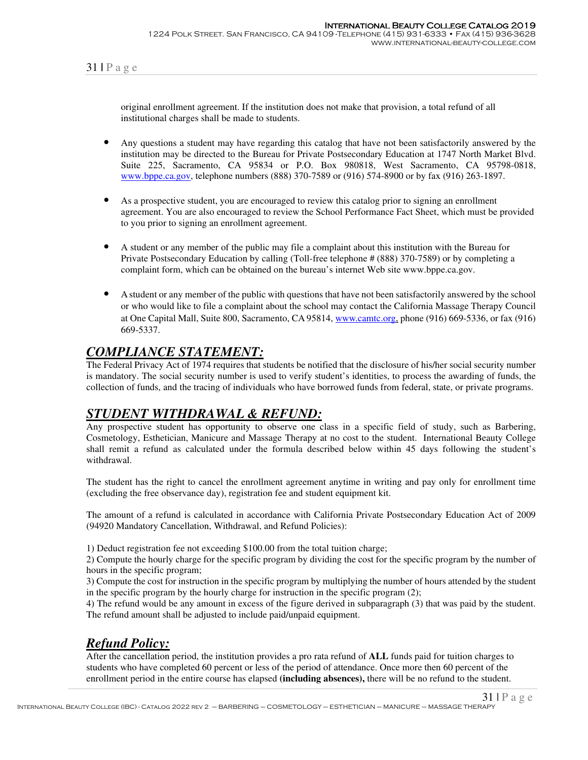original enrollment agreement. If the institution does not make that provision, a total refund of all institutional charges shall be made to students.

- Any questions a student may have regarding this catalog that have not been satisfactorily answered by the institution may be directed to the Bureau for Private Postsecondary Education at 1747 North Market Blvd. Suite 225, Sacramento, CA 95834 or P.O. Box 980818, West Sacramento, CA 95798-0818, www.bppe.ca.gov, telephone numbers (888) 370-7589 or (916) 574-8900 or by fax (916) 263-1897.
- As a prospective student, you are encouraged to review this catalog prior to signing an enrollment agreement. You are also encouraged to review the School Performance Fact Sheet, which must be provided to you prior to signing an enrollment agreement.
- A student or any member of the public may file a complaint about this institution with the Bureau for Private Postsecondary Education by calling (Toll-free telephone # (888) 370-7589) or by completing a complaint form, which can be obtained on the bureau's internet Web site www.bppe.ca.gov.
- A student or any member of the public with questions that have not been satisfactorily answered by the school or who would like to file a complaint about the school may contact the California Massage Therapy Council at One Capital Mall, Suite 800, Sacramento, CA 95814, www.camtc.org, phone (916) 669-5336, or fax (916) 669-5337.

## *COMPLIANCE STATEMENT:*

The Federal Privacy Act of 1974 requires that students be notified that the disclosure of his/her social security number is mandatory. The social security number is used to verify student's identities, to process the awarding of funds, the collection of funds, and the tracing of individuals who have borrowed funds from federal, state, or private programs.

## *STUDENT WITHDRAWAL & REFUND:*

Any prospective student has opportunity to observe one class in a specific field of study, such as Barbering, Cosmetology, Esthetician, Manicure and Massage Therapy at no cost to the student. International Beauty College shall remit a refund as calculated under the formula described below within 45 days following the student's withdrawal.

The student has the right to cancel the enrollment agreement anytime in writing and pay only for enrollment time (excluding the free observance day), registration fee and student equipment kit.

The amount of a refund is calculated in accordance with California Private Postsecondary Education Act of 2009 (94920 Mandatory Cancellation, Withdrawal, and Refund Policies):

1) Deduct registration fee not exceeding \$100.00 from the total tuition charge;

2) Compute the hourly charge for the specific program by dividing the cost for the specific program by the number of hours in the specific program;

3) Compute the cost for instruction in the specific program by multiplying the number of hours attended by the student in the specific program by the hourly charge for instruction in the specific program (2);

4) The refund would be any amount in excess of the figure derived in subparagraph (3) that was paid by the student. The refund amount shall be adjusted to include paid/unpaid equipment.

# *Refund Policy:*

After the cancellation period, the institution provides a pro rata refund of **ALL** funds paid for tuition charges to students who have completed 60 percent or less of the period of attendance. Once more then 60 percent of the enrollment period in the entire course has elapsed **(including absences),** there will be no refund to the student.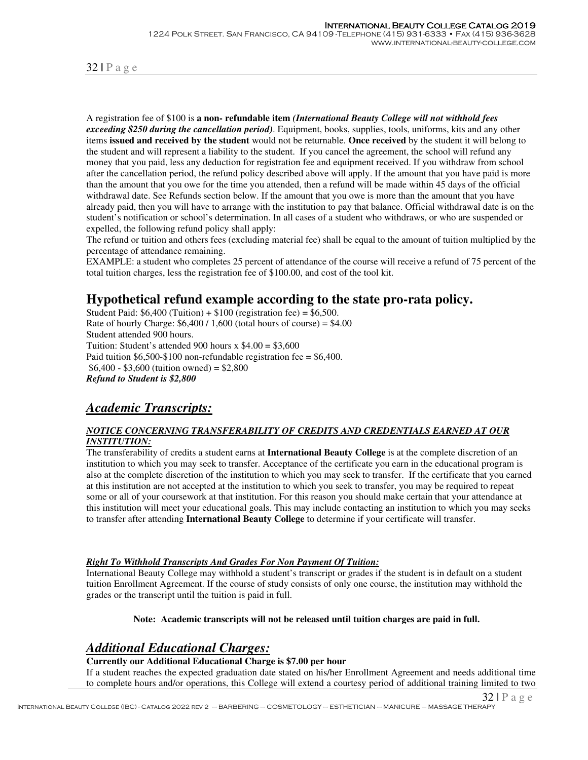A registration fee of \$100 is **a non- refundable item** *(International Beauty College will not withhold fees exceeding \$250 during the cancellation period)*. Equipment, books, supplies, tools, uniforms, kits and any other items **issued and received by the student** would not be returnable. **Once received** by the student it will belong to the student and will represent a liability to the student. If you cancel the agreement, the school will refund any money that you paid, less any deduction for registration fee and equipment received. If you withdraw from school after the cancellation period, the refund policy described above will apply. If the amount that you have paid is more than the amount that you owe for the time you attended, then a refund will be made within 45 days of the official withdrawal date. See Refunds section below. If the amount that you owe is more than the amount that you have already paid, then you will have to arrange with the institution to pay that balance. Official withdrawal date is on the student's notification or school's determination. In all cases of a student who withdraws, or who are suspended or expelled, the following refund policy shall apply:

The refund or tuition and others fees (excluding material fee) shall be equal to the amount of tuition multiplied by the percentage of attendance remaining.

EXAMPLE: a student who completes 25 percent of attendance of the course will receive a refund of 75 percent of the total tuition charges, less the registration fee of \$100.00, and cost of the tool kit.

#### **Hypothetical refund example according to the state pro-rata policy.**

Student Paid:  $$6,400$  (Tuition) +  $$100$  (registration fee) =  $$6,500$ . Rate of hourly Charge:  $$6,400 / 1,600$  (total hours of course) =  $$4.00$ Student attended 900 hours. Tuition: Student's attended 900 hours  $x$  \$4.00 = \$3,600 Paid tuition  $$6,500-\$100$  non-refundable registration fee = \$6,400.  $$6,400 - $3,600$  (tuition owned) = \$2,800 *Refund to Student is \$2,800*

## *Academic Transcripts:*

#### *NOTICE CONCERNING TRANSFERABILITY OF CREDITS AND CREDENTIALS EARNED AT OUR INSTITUTION:*

The transferability of credits a student earns at **International Beauty College** is at the complete discretion of an institution to which you may seek to transfer. Acceptance of the certificate you earn in the educational program is also at the complete discretion of the institution to which you may seek to transfer. If the certificate that you earned at this institution are not accepted at the institution to which you seek to transfer, you may be required to repeat some or all of your coursework at that institution. For this reason you should make certain that your attendance at this institution will meet your educational goals. This may include contacting an institution to which you may seeks to transfer after attending **International Beauty College** to determine if your certificate will transfer.

#### *Right To Withhold Transcripts And Grades For Non Payment Of Tuition:*

International Beauty College may withhold a student's transcript or grades if the student is in default on a student tuition Enrollment Agreement. If the course of study consists of only one course, the institution may withhold the grades or the transcript until the tuition is paid in full.

#### **Note: Academic transcripts will not be released until tuition charges are paid in full.**

#### *Additional Educational Charges:*

#### **Currently our Additional Educational Charge is \$7.00 per hour**

If a student reaches the expected graduation date stated on his/her Enrollment Agreement and needs additional time to complete hours and/or operations, this College will extend a courtesy period of additional training limited to two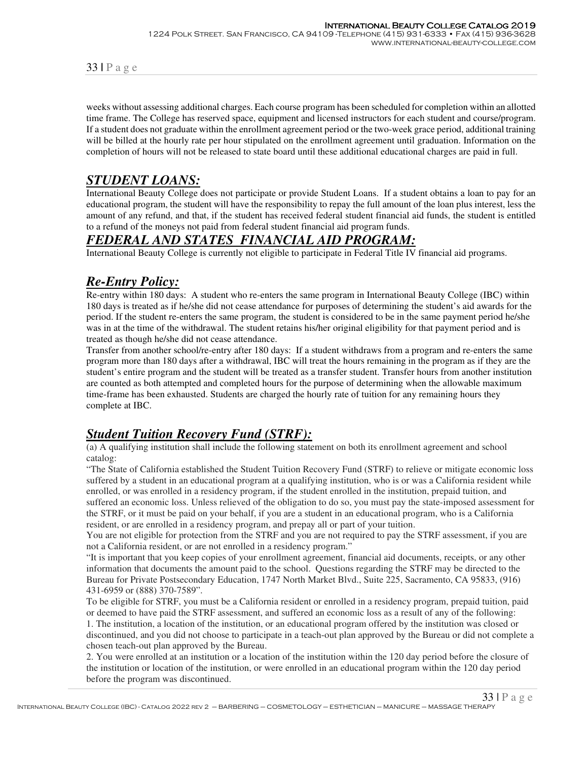weeks without assessing additional charges. Each course program has been scheduled for completion within an allotted time frame. The College has reserved space, equipment and licensed instructors for each student and course/program. If a student does not graduate within the enrollment agreement period or the two-week grace period, additional training will be billed at the hourly rate per hour stipulated on the enrollment agreement until graduation. Information on the completion of hours will not be released to state board until these additional educational charges are paid in full.

## *STUDENT LOANS:*

International Beauty College does not participate or provide Student Loans. If a student obtains a loan to pay for an educational program, the student will have the responsibility to repay the full amount of the loan plus interest, less the amount of any refund, and that, if the student has received federal student financial aid funds, the student is entitled to a refund of the moneys not paid from federal student financial aid program funds.

## *FEDERAL AND STATES FINANCIAL AID PROGRAM:*

International Beauty College is currently not eligible to participate in Federal Title IV financial aid programs.

## *Re-Entry Policy:*

Re-entry within 180 days:A student who re-enters the same program in International Beauty College (IBC) within 180 days is treated as if he/she did not cease attendance for purposes of determining the student's aid awards for the period. If the student re-enters the same program, the student is considered to be in the same payment period he/she was in at the time of the withdrawal. The student retains his/her original eligibility for that payment period and is treated as though he/she did not cease attendance.

Transfer from another school/re-entry after 180 days: If a student withdraws from a program and re-enters the same program more than 180 days after a withdrawal, IBC will treat the hours remaining in the program as if they are the student's entire program and the student will be treated as a transfer student. Transfer hours from another institution are counted as both attempted and completed hours for the purpose of determining when the allowable maximum time-frame has been exhausted. Students are charged the hourly rate of tuition for any remaining hours they complete at IBC.

# *Student Tuition Recovery Fund (STRF):*

(a) A qualifying institution shall include the following statement on both its enrollment agreement and school catalog:

"The State of California established the Student Tuition Recovery Fund (STRF) to relieve or mitigate economic loss suffered by a student in an educational program at a qualifying institution, who is or was a California resident while enrolled, or was enrolled in a residency program, if the student enrolled in the institution, prepaid tuition, and suffered an economic loss. Unless relieved of the obligation to do so, you must pay the state-imposed assessment for the STRF, or it must be paid on your behalf, if you are a student in an educational program, who is a California resident, or are enrolled in a residency program, and prepay all or part of your tuition.

You are not eligible for protection from the STRF and you are not required to pay the STRF assessment, if you are not a California resident, or are not enrolled in a residency program."

"It is important that you keep copies of your enrollment agreement, financial aid documents, receipts, or any other information that documents the amount paid to the school. Questions regarding the STRF may be directed to the Bureau for Private Postsecondary Education, 1747 North Market Blvd., Suite 225, Sacramento, CA 95833, (916) 431-6959 or (888) 370-7589".

To be eligible for STRF, you must be a California resident or enrolled in a residency program, prepaid tuition, paid or deemed to have paid the STRF assessment, and suffered an economic loss as a result of any of the following:

1. The institution, a location of the institution, or an educational program offered by the institution was closed or discontinued, and you did not choose to participate in a teach-out plan approved by the Bureau or did not complete a chosen teach-out plan approved by the Bureau.

2. You were enrolled at an institution or a location of the institution within the 120 day period before the closure of the institution or location of the institution, or were enrolled in an educational program within the 120 day period before the program was discontinued.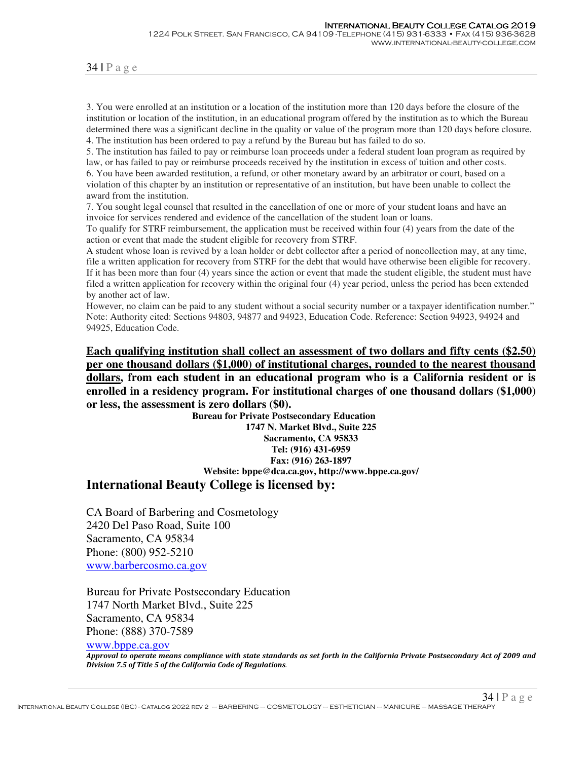3. You were enrolled at an institution or a location of the institution more than 120 days before the closure of the institution or location of the institution, in an educational program offered by the institution as to which the Bureau determined there was a significant decline in the quality or value of the program more than 120 days before closure. 4. The institution has been ordered to pay a refund by the Bureau but has failed to do so.

5. The institution has failed to pay or reimburse loan proceeds under a federal student loan program as required by law, or has failed to pay or reimburse proceeds received by the institution in excess of tuition and other costs. 6. You have been awarded restitution, a refund, or other monetary award by an arbitrator or court, based on a violation of this chapter by an institution or representative of an institution, but have been unable to collect the

award from the institution.

7. You sought legal counsel that resulted in the cancellation of one or more of your student loans and have an invoice for services rendered and evidence of the cancellation of the student loan or loans.

To qualify for STRF reimbursement, the application must be received within four (4) years from the date of the action or event that made the student eligible for recovery from STRF.

A student whose loan is revived by a loan holder or debt collector after a period of noncollection may, at any time, file a written application for recovery from STRF for the debt that would have otherwise been eligible for recovery. If it has been more than four (4) years since the action or event that made the student eligible, the student must have filed a written application for recovery within the original four (4) year period, unless the period has been extended by another act of law.

However, no claim can be paid to any student without a social security number or a taxpayer identification number." Note: Authority cited: Sections 94803, 94877 and 94923, Education Code. Reference: Section 94923, 94924 and 94925, Education Code.

**Each qualifying institution shall collect an assessment of two dollars and fifty cents (\$2.50) per one thousand dollars (\$1,000) of institutional charges, rounded to the nearest thousand dollars, from each student in an educational program who is a California resident or is enrolled in a residency program. For institutional charges of one thousand dollars (\$1,000) or less, the assessment is zero dollars (\$0).**

 **Bureau for Private Postsecondary Education 1747 N. Market Blvd., Suite 225 Sacramento, CA 95833 Tel: (916) 431-6959 Fax: (916) 263-1897 Website: bppe@dca.ca.gov, http://www.bppe.ca.gov/**

## **International Beauty College is licensed by:**

CA Board of Barbering and Cosmetology 2420 Del Paso Road, Suite 100 Sacramento, CA 95834 Phone: (800) 952-5210 www.barbercosmo.ca.gov

Bureau for Private Postsecondary Education 1747 North Market Blvd., Suite 225 Sacramento, CA 95834 Phone: (888) 370-7589

www.bppe.ca.gov

*Approval to operate means compliance with state standards as set forth in the California Private Postsecondary Act of 2009 and Division 7.5 of Title 5 of the California Code of Regulations.*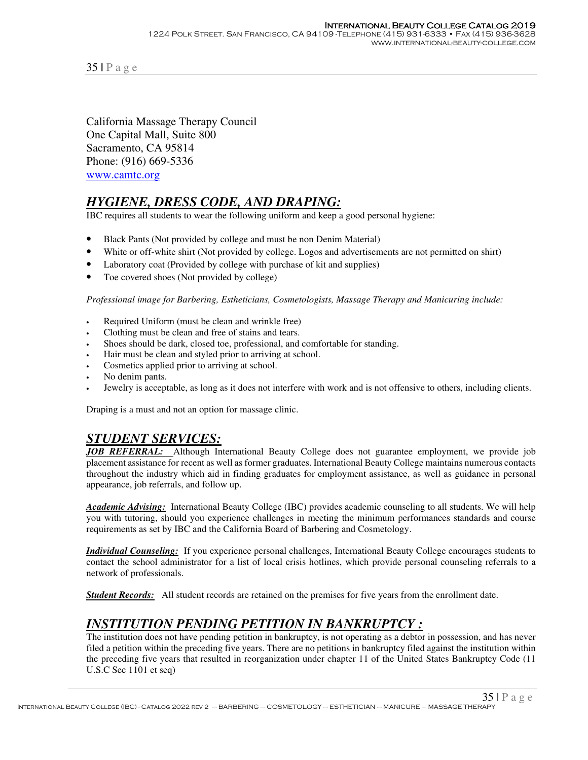California Massage Therapy Council One Capital Mall, Suite 800 Sacramento, CA 95814 Phone: (916) 669-5336 www.camtc.org

# *HYGIENE, DRESS CODE, AND DRAPING:*

IBC requires all students to wear the following uniform and keep a good personal hygiene:

- Black Pants (Not provided by college and must be non Denim Material)
- White or off-white shirt (Not provided by college. Logos and advertisements are not permitted on shirt)
- Laboratory coat (Provided by college with purchase of kit and supplies)
- Toe covered shoes (Not provided by college)

*Professional image for Barbering, Estheticians, Cosmetologists, Massage Therapy and Manicuring include:* 

- Required Uniform (must be clean and wrinkle free)
- Clothing must be clean and free of stains and tears.
- Shoes should be dark, closed toe, professional, and comfortable for standing.
- Hair must be clean and styled prior to arriving at school.
- Cosmetics applied prior to arriving at school.
- No denim pants.
- Jewelry is acceptable, as long as it does not interfere with work and is not offensive to others, including clients.

Draping is a must and not an option for massage clinic.

## *STUDENT SERVICES:*

*JOB REFERRAL:* Although International Beauty College does not guarantee employment, we provide job placement assistance for recent as well as former graduates. International Beauty College maintains numerous contacts throughout the industry which aid in finding graduates for employment assistance, as well as guidance in personal appearance, job referrals, and follow up.

*Academic Advising:* International Beauty College (IBC) provides academic counseling to all students. We will help you with tutoring, should you experience challenges in meeting the minimum performances standards and course requirements as set by IBC and the California Board of Barbering and Cosmetology.

*Individual Counseling:* If you experience personal challenges, International Beauty College encourages students to contact the school administrator for a list of local crisis hotlines, which provide personal counseling referrals to a network of professionals.

*Student Records:* All student records are retained on the premises for five years from the enrollment date.

# *INSTITUTION PENDING PETITION IN BANKRUPTCY :*

The institution does not have pending petition in bankruptcy, is not operating as a debtor in possession, and has never filed a petition within the preceding five years. There are no petitions in bankruptcy filed against the institution within the preceding five years that resulted in reorganization under chapter 11 of the United States Bankruptcy Code (11 U.S.C Sec 1101 et seq)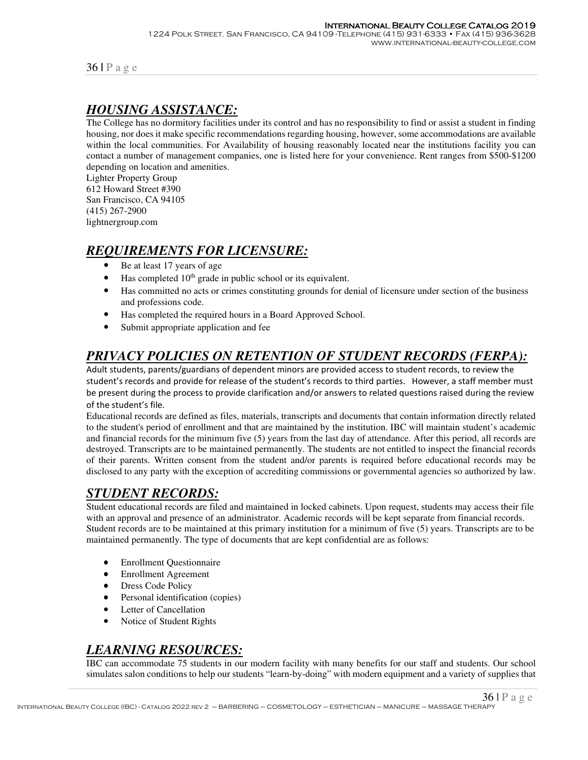# *HOUSING ASSISTANCE:*

The College has no dormitory facilities under its control and has no responsibility to find or assist a student in finding housing, nor does it make specific recommendations regarding housing, however, some accommodations are available within the local communities. For Availability of housing reasonably located near the institutions facility you can contact a number of management companies, one is listed here for your convenience. Rent ranges from \$500-\$1200 depending on location and amenities.

Lighter Property Group 612 Howard Street #390 San Francisco, CA 94105 (415) 267-2900 lightnergroup.com

# *REQUIREMENTS FOR LICENSURE:*

- Be at least 17 years of age
- Has completed  $10<sup>th</sup>$  grade in public school or its equivalent.
- Has committed no acts or crimes constituting grounds for denial of licensure under section of the business and professions code.
- Has completed the required hours in a Board Approved School.
- Submit appropriate application and fee

# *PRIVACY POLICIES ON RETENTION OF STUDENT RECORDS (FERPA):*

Adult students, parents/guardians of dependent minors are provided access to student records, to review the student's records and provide for release of the student's records to third parties. However, a staff member must be present during the process to provide clarification and/or answers to related questions raised during the review of the student's file.

Educational records are defined as files, materials, transcripts and documents that contain information directly related to the student's period of enrollment and that are maintained by the institution. IBC will maintain student's academic and financial records for the minimum five (5) years from the last day of attendance. After this period, all records are destroyed. Transcripts are to be maintained permanently. The students are not entitled to inspect the financial records of their parents. Written consent from the student and/or parents is required before educational records may be disclosed to any party with the exception of accrediting commissions or governmental agencies so authorized by law.

## *STUDENT RECORDS:*

Student educational records are filed and maintained in locked cabinets. Upon request, students may access their file with an approval and presence of an administrator. Academic records will be kept separate from financial records. Student records are to be maintained at this primary institution for a minimum of five (5) years. Transcripts are to be maintained permanently. The type of documents that are kept confidential are as follows:

- Enrollment Questionnaire
- Enrollment Agreement
- Dress Code Policy
- Personal identification (copies)
- Letter of Cancellation
- Notice of Student Rights

## *LEARNING RESOURCES:*

IBC can accommodate 75 students in our modern facility with many benefits for our staff and students. Our school simulates salon conditions to help our students "learn-by-doing" with modern equipment and a variety of supplies that